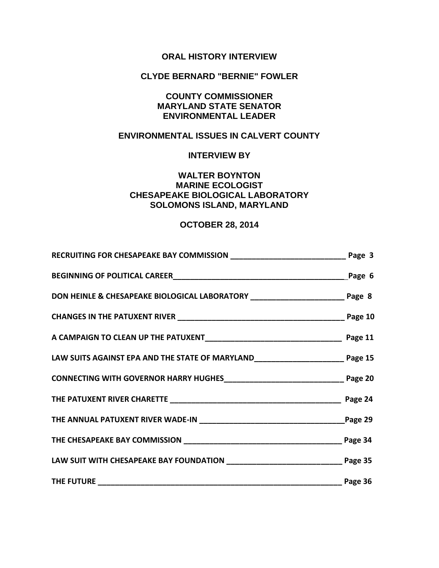# **ORAL HISTORY INTERVIEW**

## **CLYDE BERNARD "BERNIE" FOWLER**

## **COUNTY COMMISSIONER MARYLAND STATE SENATOR ENVIRONMENTAL LEADER**

# **ENVIRONMENTAL ISSUES IN CALVERT COUNTY**

### **INTERVIEW BY**

## **WALTER BOYNTON MARINE ECOLOGIST CHESAPEAKE BIOLOGICAL LABORATORY SOLOMONS ISLAND, MARYLAND**

## **OCTOBER 28, 2014**

| BEGINNING OF POLITICAL CAREER LATER AND THE CONTROL CONTROL CAREER                        |                 |
|-------------------------------------------------------------------------------------------|-----------------|
| DON HEINLE & CHESAPEAKE BIOLOGICAL LABORATORY __________________________________ Page 8   |                 |
|                                                                                           |                 |
|                                                                                           |                 |
| LAW SUITS AGAINST EPA AND THE STATE OF MARYLAND__________________________________ Page 15 |                 |
|                                                                                           |                 |
|                                                                                           |                 |
|                                                                                           |                 |
|                                                                                           |                 |
|                                                                                           |                 |
|                                                                                           | _______ Page 36 |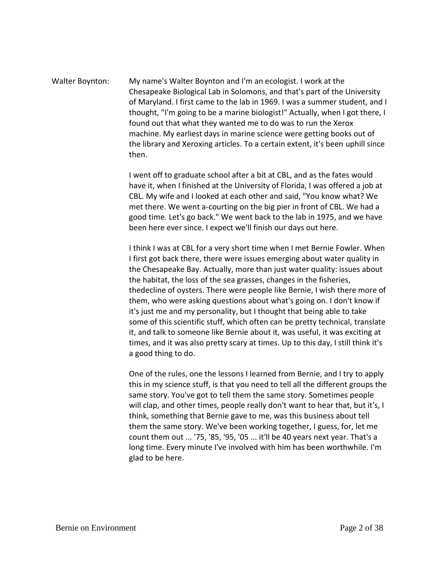Walter Boynton: My name's Walter Boynton and I'm an ecologist. I work at the Chesapeake Biological Lab in Solomons, and that's part of the University of Maryland. I first came to the lab in 1969. I was a summer student, and I thought, "I'm going to be a marine biologist!" Actually, when I got there, I found out that what they wanted me to do was to run the Xerox machine. My earliest days in marine science were getting books out of the library and Xeroxing articles. To a certain extent, it's been uphill since then.

> I went off to graduate school after a bit at CBL, and as the fates would have it, when I finished at the University of Florida, I was offered a job at CBL. My wife and I looked at each other and said, "You know what? We met there. We went a-courting on the big pier in front of CBL. We had a good time. Let's go back." We went back to the lab in 1975, and we have been here ever since. I expect we'll finish our days out here.

I think I was at CBL for a very short time when I met Bernie Fowler. When I first got back there, there were issues emerging about water quality in the Chesapeake Bay. Actually, more than just water quality: issues about the habitat, the loss of the sea grasses, changes in the fisheries, thedecline of oysters. There were people like Bernie, I wish there more of them, who were asking questions about what's going on. I don't know if it's just me and my personality, but I thought that being able to take some of this scientific stuff, which often can be pretty technical, translate it, and talk to someone like Bernie about it, was useful, it was exciting at times, and it was also pretty scary at times. Up to this day, I still think it's a good thing to do.

One of the rules, one the lessons I learned from Bernie, and I try to apply this in my science stuff, is that you need to tell all the different groups the same story. You've got to tell them the same story. Sometimes people will clap, and other times, people really don't want to hear that, but it's, I think, something that Bernie gave to me, was this business about tell them the same story. We've been working together, I guess, for, let me count them out ... '75, '85, '95, '05 ... it'll be 40 years next year. That's a long time. Every minute I've involved with him has been worthwhile. I'm glad to be here.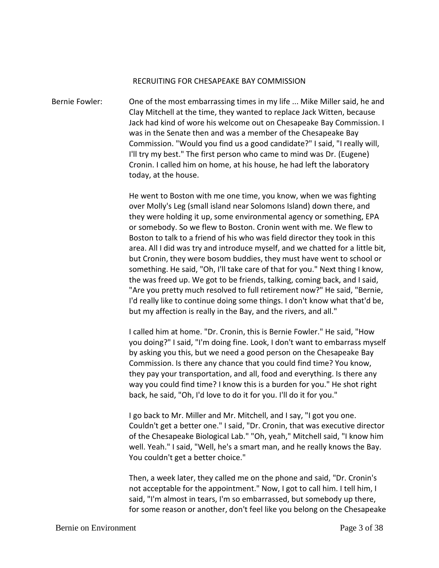#### RECRUITING FOR CHESAPEAKE BAY COMMISSION

Bernie Fowler: One of the most embarrassing times in my life ... Mike Miller said, he and Clay Mitchell at the time, they wanted to replace Jack Witten, because Jack had kind of wore his welcome out on Chesapeake Bay Commission. I was in the Senate then and was a member of the Chesapeake Bay Commission. "Would you find us a good candidate?" I said, "I really will, I'll try my best." The first person who came to mind was Dr. (Eugene) Cronin. I called him on home, at his house, he had left the laboratory today, at the house.

> He went to Boston with me one time, you know, when we was fighting over Molly's Leg (small island near Solomons Island) down there, and they were holding it up, some environmental agency or something, EPA or somebody. So we flew to Boston. Cronin went with me. We flew to Boston to talk to a friend of his who was field director they took in this area. All I did was try and introduce myself, and we chatted for a little bit, but Cronin, they were bosom buddies, they must have went to school or something. He said, "Oh, I'll take care of that for you." Next thing I know, the was freed up. We got to be friends, talking, coming back, and I said, "Are you pretty much resolved to full retirement now?" He said, "Bernie, I'd really like to continue doing some things. I don't know what that'd be, but my affection is really in the Bay, and the rivers, and all."

> I called him at home. "Dr. Cronin, this is Bernie Fowler." He said, "How you doing?" I said, "I'm doing fine. Look, I don't want to embarrass myself by asking you this, but we need a good person on the Chesapeake Bay Commission. Is there any chance that you could find time? You know, they pay your transportation, and all, food and everything. Is there any way you could find time? I know this is a burden for you." He shot right back, he said, "Oh, I'd love to do it for you. I'll do it for you."

> I go back to Mr. Miller and Mr. Mitchell, and I say, "I got you one. Couldn't get a better one." I said, "Dr. Cronin, that was executive director of the Chesapeake Biological Lab." "Oh, yeah," Mitchell said, "I know him well. Yeah." I said, "Well, he's a smart man, and he really knows the Bay. You couldn't get a better choice."

> Then, a week later, they called me on the phone and said, "Dr. Cronin's not acceptable for the appointment." Now, I got to call him. I tell him, I said, "I'm almost in tears, I'm so embarrassed, but somebody up there, for some reason or another, don't feel like you belong on the Chesapeake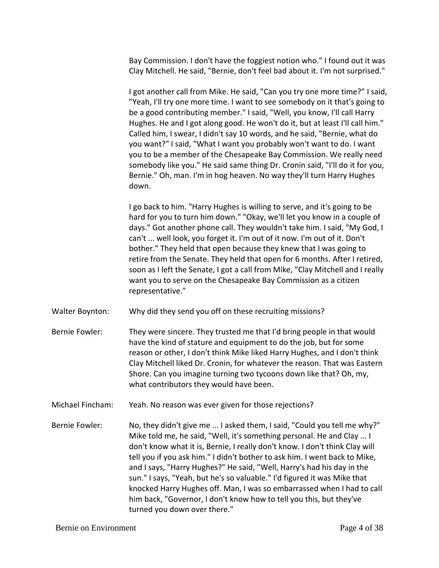Bay Commission. I don't have the foggiest notion who." I found out it was Clay Mitchell. He said, "Bernie, don't feel bad about it. I'm not surprised."

I got another call from Mike. He said, "Can you try one more time?" I said, "Yeah, I'll try one more time. I want to see somebody on it that's going to be a good contributing member." I said, "Well, you know, I'll call Harry Hughes. He and I got along good. He won't do it, but at least I'll call him." Called him, I swear, I didn't say 10 words, and he said, "Bernie, what do you want?" I said, "What I want you probably won't want to do. I want you to be a member of the Chesapeake Bay Commission. We really need somebody like you." He said same thing Dr. Cronin said, "I'll do it for you, Bernie." Oh, man. I'm in hog heaven. No way they'll turn Harry Hughes down.

I go back to him. "Harry Hughes is willing to serve, and it's going to be hard for you to turn him down." "Okay, we'll let you know in a couple of days." Got another phone call. They wouldn't take him. I said, "My God, I can't ... well look, you forget it. I'm out of it now. I'm out of it. Don't bother." They held that open because they knew that I was going to retire from the Senate. They held that open for 6 months. After I retired, soon as I left the Senate, I got a call from Mike, "Clay Mitchell and I really want you to serve on the Chesapeake Bay Commission as a citizen representative."

- Walter Boynton: Why did they send you off on these recruiting missions?
- Bernie Fowler: They were sincere. They trusted me that I'd bring people in that would have the kind of stature and equipment to do the job, but for some reason or other, I don't think Mike liked Harry Hughes, and I don't think Clay Mitchell liked Dr. Cronin, for whatever the reason. That was Eastern Shore. Can you imagine turning two tycoons down like that? Oh, my, what contributors they would have been.
- Michael Fincham: Yeah. No reason was ever given for those rejections?
- Bernie Fowler: No, they didn't give me ... I asked them, I said, "Could you tell me why?" Mike told me, he said, "Well, it's something personal. He and Clay ... I don't know what it is, Bernie, I really don't know. I don't think Clay will tell you if you ask him." I didn't bother to ask him. I went back to Mike, and I says, "Harry Hughes?" He said, "Well, Harry's had his day in the sun." I says, "Yeah, but he's so valuable." I'd figured it was Mike that knocked Harry Hughes off. Man, I was so embarrassed when I had to call him back, "Governor, I don't know how to tell you this, but they've turned you down over there."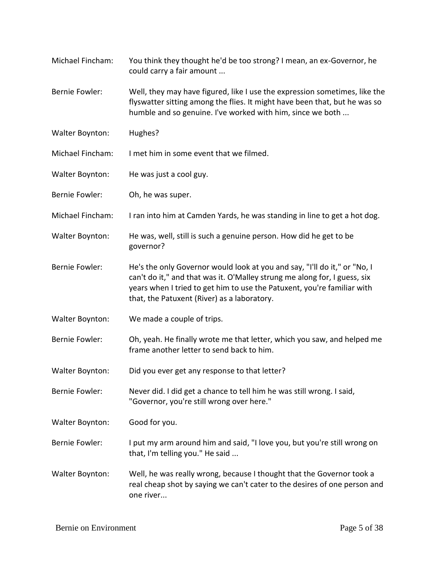- Michael Fincham: You think they thought he'd be too strong? I mean, an ex-Governor, he could carry a fair amount ...
- Bernie Fowler: Well, they may have figured, like I use the expression sometimes, like the flyswatter sitting among the flies. It might have been that, but he was so humble and so genuine. I've worked with him, since we both ...
- Walter Boynton: Hughes?
- Michael Fincham: I met him in some event that we filmed.
- Walter Boynton: He was just a cool guy.
- Bernie Fowler: Oh, he was super.
- Michael Fincham: I ran into him at Camden Yards, he was standing in line to get a hot dog.
- Walter Boynton: He was, well, still is such a genuine person. How did he get to be governor?
- Bernie Fowler: He's the only Governor would look at you and say, "I'll do it," or "No, I can't do it," and that was it. O'Malley strung me along for, I guess, six years when I tried to get him to use the Patuxent, you're familiar with that, the Patuxent (River) as a laboratory.
- Walter Boynton: We made a couple of trips.
- Bernie Fowler: Oh, yeah. He finally wrote me that letter, which you saw, and helped me frame another letter to send back to him.
- Walter Boynton: Did you ever get any response to that letter?
- Bernie Fowler: Never did. I did get a chance to tell him he was still wrong. I said, "Governor, you're still wrong over here."
- Walter Boynton: Good for you.
- Bernie Fowler: I put my arm around him and said, "I love you, but you're still wrong on that, I'm telling you." He said ...
- Walter Boynton: Well, he was really wrong, because I thought that the Governor took a real cheap shot by saying we can't cater to the desires of one person and one river...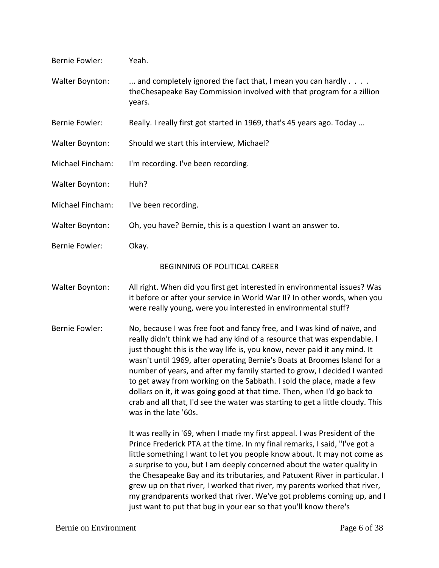| <b>Bernie Fowler:</b> | Yeah.                                                                                                                                                                                                                                                                                                                                                                                                                                                                                                                                                                                                                                                       |
|-----------------------|-------------------------------------------------------------------------------------------------------------------------------------------------------------------------------------------------------------------------------------------------------------------------------------------------------------------------------------------------------------------------------------------------------------------------------------------------------------------------------------------------------------------------------------------------------------------------------------------------------------------------------------------------------------|
| Walter Boynton:       | and completely ignored the fact that, I mean you can hardly<br>the Chesapeake Bay Commission involved with that program for a zillion<br>years.                                                                                                                                                                                                                                                                                                                                                                                                                                                                                                             |
| <b>Bernie Fowler:</b> | Really. I really first got started in 1969, that's 45 years ago. Today                                                                                                                                                                                                                                                                                                                                                                                                                                                                                                                                                                                      |
| Walter Boynton:       | Should we start this interview, Michael?                                                                                                                                                                                                                                                                                                                                                                                                                                                                                                                                                                                                                    |
| Michael Fincham:      | I'm recording. I've been recording.                                                                                                                                                                                                                                                                                                                                                                                                                                                                                                                                                                                                                         |
| Walter Boynton:       | Huh?                                                                                                                                                                                                                                                                                                                                                                                                                                                                                                                                                                                                                                                        |
| Michael Fincham:      | I've been recording.                                                                                                                                                                                                                                                                                                                                                                                                                                                                                                                                                                                                                                        |
| Walter Boynton:       | Oh, you have? Bernie, this is a question I want an answer to.                                                                                                                                                                                                                                                                                                                                                                                                                                                                                                                                                                                               |
| <b>Bernie Fowler:</b> | Okay.                                                                                                                                                                                                                                                                                                                                                                                                                                                                                                                                                                                                                                                       |
|                       | BEGINNING OF POLITICAL CAREER                                                                                                                                                                                                                                                                                                                                                                                                                                                                                                                                                                                                                               |
| Walter Boynton:       | All right. When did you first get interested in environmental issues? Was<br>it before or after your service in World War II? In other words, when you<br>were really young, were you interested in environmental stuff?                                                                                                                                                                                                                                                                                                                                                                                                                                    |
| <b>Bernie Fowler:</b> | No, because I was free foot and fancy free, and I was kind of naïve, and<br>really didn't think we had any kind of a resource that was expendable. I<br>just thought this is the way life is, you know, never paid it any mind. It<br>wasn't until 1969, after operating Bernie's Boats at Broomes Island for a<br>number of years, and after my family started to grow, I decided I wanted<br>to get away from working on the Sabbath. I sold the place, made a few<br>dollars on it, it was going good at that time. Then, when I'd go back to<br>crab and all that, I'd see the water was starting to get a little cloudy. This<br>was in the late '60s. |
|                       | It was really in '69, when I made my first appeal. I was President of the<br>Prince Frederick PTA at the time. In my final remarks, I said, "I've got a<br>little something I want to let you people know about. It may not come as<br>a surprise to you, but I am deeply concerned about the water quality in<br>the Chesapeake Bay and its tributaries, and Patuxent River in particular. I<br>grew up on that river, I worked that river, my parents worked that river,<br>my grandparents worked that river. We've got problems coming up, and I<br>just want to put that bug in your ear so that you'll know there's                                   |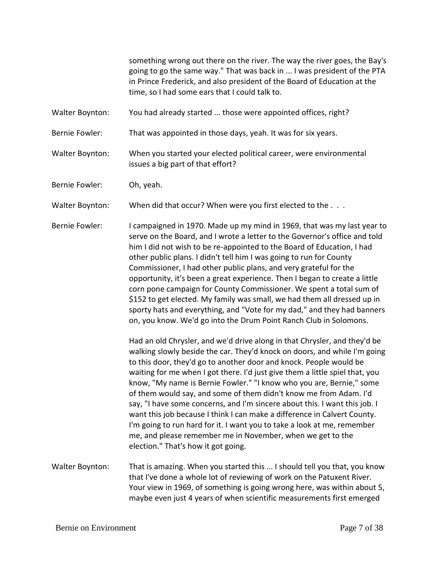something wrong out there on the river. The way the river goes, the Bay's going to go the same way." That was back in ... I was president of the PTA in Prince Frederick, and also president of the Board of Education at the time, so I had some ears that I could talk to.

Walter Boynton: You had already started ... those were appointed offices, right?

Bernie Fowler: That was appointed in those days, yeah. It was for six years.

Walter Boynton: When you started your elected political career, were environmental issues a big part of that effort?

Bernie Fowler: Oh, yeah.

Walter Boynton: When did that occur? When were you first elected to the . . .

Bernie Fowler: I campaigned in 1970. Made up my mind in 1969, that was my last year to serve on the Board, and I wrote a letter to the Governor's office and told him I did not wish to be re-appointed to the Board of Education, I had other public plans. I didn't tell him I was going to run for County Commissioner, I had other public plans, and very grateful for the opportunity, it's been a great experience. Then I began to create a little corn pone campaign for County Commissioner. We spent a total sum of \$152 to get elected. My family was small, we had them all dressed up in sporty hats and everything, and "Vote for my dad," and they had banners on, you know. We'd go into the Drum Point Ranch Club in Solomons.

> Had an old Chrysler, and we'd drive along in that Chrysler, and they'd be walking slowly beside the car. They'd knock on doors, and while I'm going to this door, they'd go to another door and knock. People would be waiting for me when I got there. I'd just give them a little spiel that, you know, "My name is Bernie Fowler." "I know who you are, Bernie," some of them would say, and some of them didn't know me from Adam. I'd say, "I have some concerns, and I'm sincere about this. I want this job. I want this job because I think I can make a difference in Calvert County. I'm going to run hard for it. I want you to take a look at me, remember me, and please remember me in November, when we get to the election." That's how it got going.

Walter Boynton: That is amazing. When you started this ... I should tell you that, you know that I've done a whole lot of reviewing of work on the Patuxent River. Your view in 1969, of something is going wrong here, was within about 5, maybe even just 4 years of when scientific measurements first emerged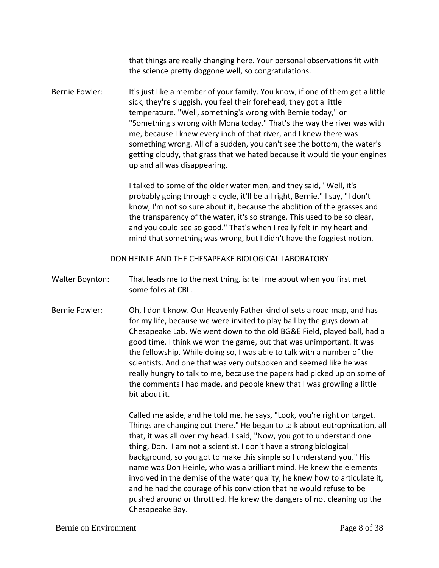that things are really changing here. Your personal observations fit with the science pretty doggone well, so congratulations.

Bernie Fowler: It's just like a member of your family. You know, if one of them get a little sick, they're sluggish, you feel their forehead, they got a little temperature. "Well, something's wrong with Bernie today," or "Something's wrong with Mona today." That's the way the river was with me, because I knew every inch of that river, and I knew there was something wrong. All of a sudden, you can't see the bottom, the water's getting cloudy, that grass that we hated because it would tie your engines up and all was disappearing.

> I talked to some of the older water men, and they said, "Well, it's probably going through a cycle, it'll be all right, Bernie." I say, "I don't know, I'm not so sure about it, because the abolition of the grasses and the transparency of the water, it's so strange. This used to be so clear, and you could see so good." That's when I really felt in my heart and mind that something was wrong, but I didn't have the foggiest notion.

DON HEINLE AND THE CHESAPEAKE BIOLOGICAL LABORATORY

Walter Boynton: That leads me to the next thing, is: tell me about when you first met some folks at CBL.

Bernie Fowler: Oh, I don't know. Our Heavenly Father kind of sets a road map, and has for my life, because we were invited to play ball by the guys down at Chesapeake Lab. We went down to the old BG&E Field, played ball, had a good time. I think we won the game, but that was unimportant. It was the fellowship. While doing so, I was able to talk with a number of the scientists. And one that was very outspoken and seemed like he was really hungry to talk to me, because the papers had picked up on some of the comments I had made, and people knew that I was growling a little bit about it.

> Called me aside, and he told me, he says, "Look, you're right on target. Things are changing out there." He began to talk about eutrophication, all that, it was all over my head. I said, "Now, you got to understand one thing, Don. I am not a scientist. I don't have a strong biological background, so you got to make this simple so I understand you." His name was Don Heinle, who was a brilliant mind. He knew the elements involved in the demise of the water quality, he knew how to articulate it, and he had the courage of his conviction that he would refuse to be pushed around or throttled. He knew the dangers of not cleaning up the Chesapeake Bay.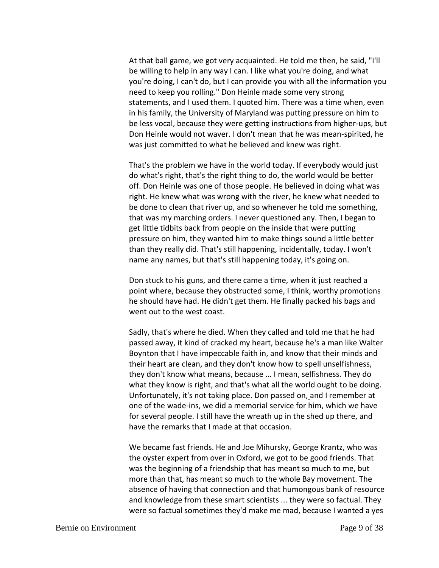At that ball game, we got very acquainted. He told me then, he said, "I'll be willing to help in any way I can. I like what you're doing, and what you're doing, I can't do, but I can provide you with all the information you need to keep you rolling." Don Heinle made some very strong statements, and I used them. I quoted him. There was a time when, even in his family, the University of Maryland was putting pressure on him to be less vocal, because they were getting instructions from higher-ups, but Don Heinle would not waver. I don't mean that he was mean-spirited, he was just committed to what he believed and knew was right.

That's the problem we have in the world today. If everybody would just do what's right, that's the right thing to do, the world would be better off. Don Heinle was one of those people. He believed in doing what was right. He knew what was wrong with the river, he knew what needed to be done to clean that river up, and so whenever he told me something, that was my marching orders. I never questioned any. Then, I began to get little tidbits back from people on the inside that were putting pressure on him, they wanted him to make things sound a little better than they really did. That's still happening, incidentally, today. I won't name any names, but that's still happening today, it's going on.

Don stuck to his guns, and there came a time, when it just reached a point where, because they obstructed some, I think, worthy promotions he should have had. He didn't get them. He finally packed his bags and went out to the west coast.

Sadly, that's where he died. When they called and told me that he had passed away, it kind of cracked my heart, because he's a man like Walter Boynton that I have impeccable faith in, and know that their minds and their heart are clean, and they don't know how to spell unselfishness, they don't know what means, because ... I mean, selfishness. They do what they know is right, and that's what all the world ought to be doing. Unfortunately, it's not taking place. Don passed on, and I remember at one of the wade-ins, we did a memorial service for him, which we have for several people. I still have the wreath up in the shed up there, and have the remarks that I made at that occasion.

We became fast friends. He and Joe Mihursky, George Krantz, who was the oyster expert from over in Oxford, we got to be good friends. That was the beginning of a friendship that has meant so much to me, but more than that, has meant so much to the whole Bay movement. The absence of having that connection and that humongous bank of resource and knowledge from these smart scientists ... they were so factual. They were so factual sometimes they'd make me mad, because I wanted a yes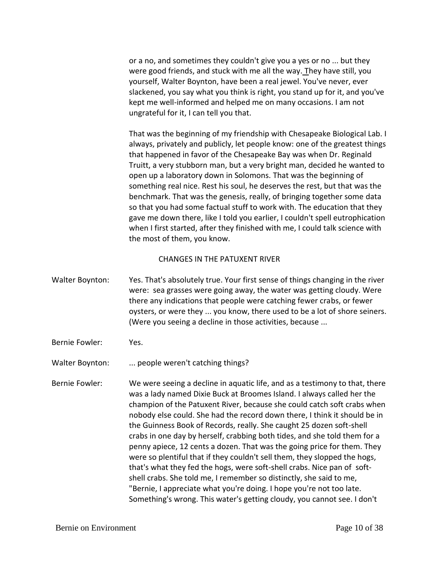or a no, and sometimes they couldn't give you a yes or no ... but they were good friends, and stuck with me all the way. They have still, you yourself, Walter Boynton, have been a real jewel. You've never, ever slackened, you say what you think is right, you stand up for it, and you've kept me well-informed and helped me on many occasions. I am not ungrateful for it, I can tell you that.

That was the beginning of my friendship with Chesapeake Biological Lab. I always, privately and publicly, let people know: one of the greatest things that happened in favor of the Chesapeake Bay was when Dr. Reginald Truitt, a very stubborn man, but a very bright man, decided he wanted to open up a laboratory down in Solomons. That was the beginning of something real nice. Rest his soul, he deserves the rest, but that was the benchmark. That was the genesis, really, of bringing together some data so that you had some factual stuff to work with. The education that they gave me down there, like I told you earlier, I couldn't spell eutrophication when I first started, after they finished with me, I could talk science with the most of them, you know.

### CHANGES IN THE PATUXENT RIVER

- Walter Boynton: Yes. That's absolutely true. Your first sense of things changing in the river were: sea grasses were going away, the water was getting cloudy. Were there any indications that people were catching fewer crabs, or fewer oysters, or were they ... you know, there used to be a lot of shore seiners. (Were you seeing a decline in those activities, because ...
- Bernie Fowler: Yes.

Walter Boynton: ... people weren't catching things?

Bernie Fowler: We were seeing a decline in aquatic life, and as a testimony to that, there was a lady named Dixie Buck at Broomes Island. I always called her the champion of the Patuxent River, because she could catch soft crabs when nobody else could. She had the record down there, I think it should be in the Guinness Book of Records, really. She caught 25 dozen soft-shell crabs in one day by herself, crabbing both tides, and she told them for a penny apiece, 12 cents a dozen. That was the going price for them. They were so plentiful that if they couldn't sell them, they slopped the hogs, that's what they fed the hogs, were soft-shell crabs. Nice pan of softshell crabs. She told me, I remember so distinctly, she said to me, "Bernie, I appreciate what you're doing. I hope you're not too late. Something's wrong. This water's getting cloudy, you cannot see. I don't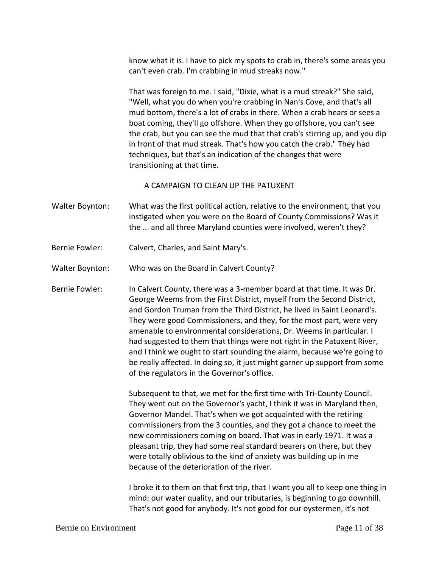know what it is. I have to pick my spots to crab in, there's some areas you can't even crab. I'm crabbing in mud streaks now."

That was foreign to me. I said, "Dixie, what is a mud streak?" She said, "Well, what you do when you're crabbing in Nan's Cove, and that's all mud bottom, there's a lot of crabs in there. When a crab hears or sees a boat coming, they'll go offshore. When they go offshore, you can't see the crab, but you can see the mud that that crab's stirring up, and you dip in front of that mud streak. That's how you catch the crab." They had techniques, but that's an indication of the changes that were transitioning at that time.

A CAMPAIGN TO CLEAN UP THE PATUXENT

- Walter Boynton: What was the first political action, relative to the environment, that you instigated when you were on the Board of County Commissions? Was it the ... and all three Maryland counties were involved, weren't they?
- Bernie Fowler: Calvert, Charles, and Saint Mary's.

Walter Boynton: Who was on the Board in Calvert County?

Bernie Fowler: In Calvert County, there was a 3-member board at that time. It was Dr. George Weems from the First District, myself from the Second District, and Gordon Truman from the Third District, he lived in Saint Leonard's. They were good Commissioners, and they, for the most part, were very amenable to environmental considerations, Dr. Weems in particular. I had suggested to them that things were not right in the Patuxent River, and I think we ought to start sounding the alarm, because we're going to be really affected. In doing so, it just might garner up support from some of the regulators in the Governor's office.

> Subsequent to that, we met for the first time with Tri-County Council. They went out on the Governor's yacht, I think it was in Maryland then, Governor Mandel. That's when we got acquainted with the retiring commissioners from the 3 counties, and they got a chance to meet the new commissioners coming on board. That was in early 1971. It was a pleasant trip, they had some real standard bearers on there, but they were totally oblivious to the kind of anxiety was building up in me because of the deterioration of the river.

I broke it to them on that first trip, that I want you all to keep one thing in mind: our water quality, and our tributaries, is beginning to go downhill. That's not good for anybody. It's not good for our oystermen, it's not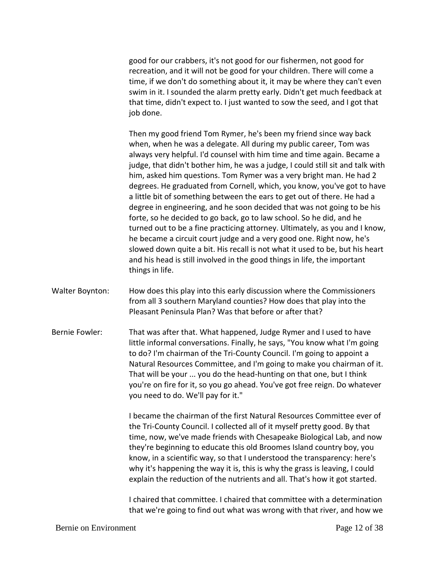good for our crabbers, it's not good for our fishermen, not good for recreation, and it will not be good for your children. There will come a time, if we don't do something about it, it may be where they can't even swim in it. I sounded the alarm pretty early. Didn't get much feedback at that time, didn't expect to. I just wanted to sow the seed, and I got that job done.

Then my good friend Tom Rymer, he's been my friend since way back when, when he was a delegate. All during my public career, Tom was always very helpful. I'd counsel with him time and time again. Became a judge, that didn't bother him, he was a judge, I could still sit and talk with him, asked him questions. Tom Rymer was a very bright man. He had 2 degrees. He graduated from Cornell, which, you know, you've got to have a little bit of something between the ears to get out of there. He had a degree in engineering, and he soon decided that was not going to be his forte, so he decided to go back, go to law school. So he did, and he turned out to be a fine practicing attorney. Ultimately, as you and I know, he became a circuit court judge and a very good one. Right now, he's slowed down quite a bit. His recall is not what it used to be, but his heart and his head is still involved in the good things in life, the important things in life.

- Walter Boynton: How does this play into this early discussion where the Commissioners from all 3 southern Maryland counties? How does that play into the Pleasant Peninsula Plan? Was that before or after that?
- Bernie Fowler: That was after that. What happened, Judge Rymer and I used to have little informal conversations. Finally, he says, "You know what I'm going to do? I'm chairman of the Tri-County Council. I'm going to appoint a Natural Resources Committee, and I'm going to make you chairman of it. That will be your ... you do the head-hunting on that one, but I think you're on fire for it, so you go ahead. You've got free reign. Do whatever you need to do. We'll pay for it."

I became the chairman of the first Natural Resources Committee ever of the Tri-County Council. I collected all of it myself pretty good. By that time, now, we've made friends with Chesapeake Biological Lab, and now they're beginning to educate this old Broomes Island country boy, you know, in a scientific way, so that I understood the transparency: here's why it's happening the way it is, this is why the grass is leaving, I could explain the reduction of the nutrients and all. That's how it got started.

I chaired that committee. I chaired that committee with a determination that we're going to find out what was wrong with that river, and how we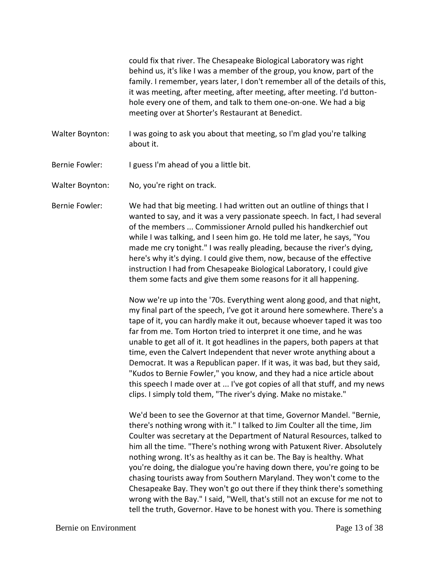could fix that river. The Chesapeake Biological Laboratory was right behind us, it's like I was a member of the group, you know, part of the family. I remember, years later, I don't remember all of the details of this, it was meeting, after meeting, after meeting, after meeting. I'd buttonhole every one of them, and talk to them one-on-one. We had a big meeting over at Shorter's Restaurant at Benedict.

- Walter Boynton: I was going to ask you about that meeting, so I'm glad you're talking about it.
- Bernie Fowler: I guess I'm ahead of you a little bit.
- Walter Boynton: No, you're right on track.
- Bernie Fowler: We had that big meeting. I had written out an outline of things that I wanted to say, and it was a very passionate speech. In fact, I had several of the members ... Commissioner Arnold pulled his handkerchief out while I was talking, and I seen him go. He told me later, he says, "You made me cry tonight." I was really pleading, because the river's dying, here's why it's dying. I could give them, now, because of the effective instruction I had from Chesapeake Biological Laboratory, I could give them some facts and give them some reasons for it all happening.

Now we're up into the '70s. Everything went along good, and that night, my final part of the speech, I've got it around here somewhere. There's a tape of it, you can hardly make it out, because whoever taped it was too far from me. Tom Horton tried to interpret it one time, and he was unable to get all of it. It got headlines in the papers, both papers at that time, even the Calvert Independent that never wrote anything about a Democrat. It was a Republican paper. If it was, it was bad, but they said, "Kudos to Bernie Fowler," you know, and they had a nice article about this speech I made over at ... I've got copies of all that stuff, and my news clips. I simply told them, "The river's dying. Make no mistake."

We'd been to see the Governor at that time, Governor Mandel. "Bernie, there's nothing wrong with it." I talked to Jim Coulter all the time, Jim Coulter was secretary at the Department of Natural Resources, talked to him all the time. "There's nothing wrong with Patuxent River. Absolutely nothing wrong. It's as healthy as it can be. The Bay is healthy. What you're doing, the dialogue you're having down there, you're going to be chasing tourists away from Southern Maryland. They won't come to the Chesapeake Bay. They won't go out there if they think there's something wrong with the Bay." I said, "Well, that's still not an excuse for me not to tell the truth, Governor. Have to be honest with you. There is something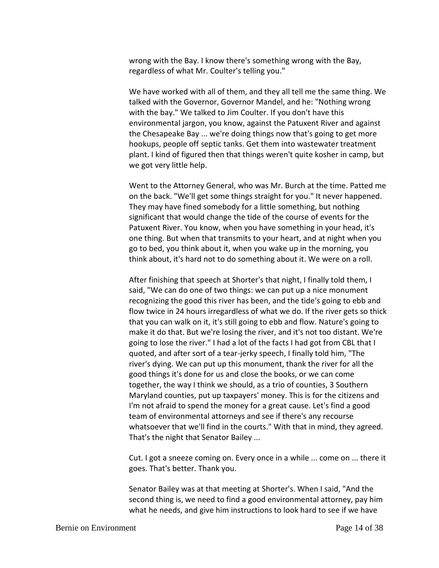wrong with the Bay. I know there's something wrong with the Bay, regardless of what Mr. Coulter's telling you."

We have worked with all of them, and they all tell me the same thing. We talked with the Governor, Governor Mandel, and he: "Nothing wrong with the bay." We talked to Jim Coulter. If you don't have this environmental jargon, you know, against the Patuxent River and against the Chesapeake Bay ... we're doing things now that's going to get more hookups, people off septic tanks. Get them into wastewater treatment plant. I kind of figured then that things weren't quite kosher in camp, but we got very little help.

Went to the Attorney General, who was Mr. Burch at the time. Patted me on the back. "We'll get some things straight for you." It never happened. They may have fined somebody for a little something, but nothing significant that would change the tide of the course of events for the Patuxent River. You know, when you have something in your head, it's one thing. But when that transmits to your heart, and at night when you go to bed, you think about it, when you wake up in the morning, you think about, it's hard not to do something about it. We were on a roll.

After finishing that speech at Shorter's that night, I finally told them, I said, "We can do one of two things: we can put up a nice monument recognizing the good this river has been, and the tide's going to ebb and flow twice in 24 hours irregardless of what we do. If the river gets so thick that you can walk on it, it's still going to ebb and flow. Nature's going to make it do that. But we're losing the river, and it's not too distant. We're going to lose the river." I had a lot of the facts I had got from CBL that I quoted, and after sort of a tear-jerky speech, I finally told him, "The river's dying. We can put up this monument, thank the river for all the good things it's done for us and close the books, or we can come together, the way I think we should, as a trio of counties, 3 Southern Maryland counties, put up taxpayers' money. This is for the citizens and I'm not afraid to spend the money for a great cause. Let's find a good team of environmental attorneys and see if there's any recourse whatsoever that we'll find in the courts." With that in mind, they agreed. That's the night that Senator Bailey ...

Cut. I got a sneeze coming on. Every once in a while ... come on ... there it goes. That's better. Thank you.

Senator Bailey was at that meeting at Shorter's. When I said, "And the second thing is, we need to find a good environmental attorney, pay him what he needs, and give him instructions to look hard to see if we have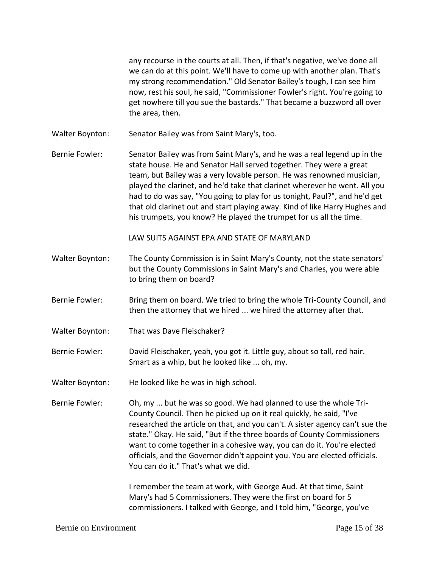any recourse in the courts at all. Then, if that's negative, we've done all we can do at this point. We'll have to come up with another plan. That's my strong recommendation." Old Senator Bailey's tough, I can see him now, rest his soul, he said, "Commissioner Fowler's right. You're going to get nowhere till you sue the bastards." That became a buzzword all over the area, then.

Walter Boynton: Senator Bailey was from Saint Mary's, too.

Bernie Fowler: Senator Bailey was from Saint Mary's, and he was a real legend up in the state house. He and Senator Hall served together. They were a great team, but Bailey was a very lovable person. He was renowned musician, played the clarinet, and he'd take that clarinet wherever he went. All you had to do was say, "You going to play for us tonight, Paul?", and he'd get that old clarinet out and start playing away. Kind of like Harry Hughes and his trumpets, you know? He played the trumpet for us all the time.

LAW SUITS AGAINST EPA AND STATE OF MARYLAND

- Walter Boynton: The County Commission is in Saint Mary's County, not the state senators' but the County Commissions in Saint Mary's and Charles, you were able to bring them on board?
- Bernie Fowler: Bring them on board. We tried to bring the whole Tri-County Council, and then the attorney that we hired ... we hired the attorney after that.
- Walter Boynton: That was Dave Fleischaker?
- Bernie Fowler: David Fleischaker, yeah, you got it. Little guy, about so tall, red hair. Smart as a whip, but he looked like ... oh, my.
- Walter Boynton: He looked like he was in high school.
- Bernie Fowler: Oh, my ... but he was so good. We had planned to use the whole Tri-County Council. Then he picked up on it real quickly, he said, "I've researched the article on that, and you can't. A sister agency can't sue the state." Okay. He said, "But if the three boards of County Commissioners want to come together in a cohesive way, you can do it. You're elected officials, and the Governor didn't appoint you. You are elected officials. You can do it." That's what we did.

I remember the team at work, with George Aud. At that time, Saint Mary's had 5 Commissioners. They were the first on board for 5 commissioners. I talked with George, and I told him, "George, you've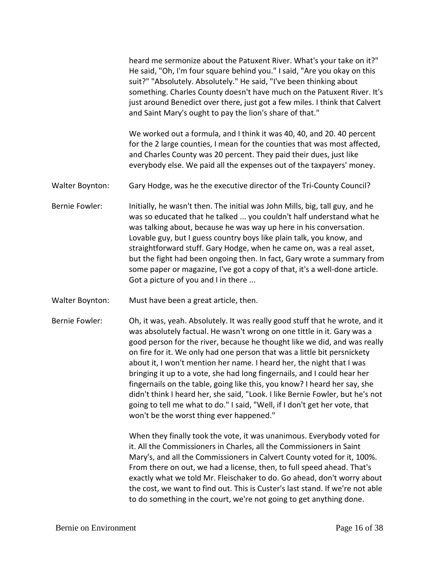heard me sermonize about the Patuxent River. What's your take on it?" He said, "Oh, I'm four square behind you." I said, "Are you okay on this suit?" "Absolutely. Absolutely." He said, "I've been thinking about something. Charles County doesn't have much on the Patuxent River. It's just around Benedict over there, just got a few miles. I think that Calvert and Saint Mary's ought to pay the lion's share of that." We worked out a formula, and I think it was 40, 40, and 20. 40 percent for the 2 large counties, I mean for the counties that was most affected, and Charles County was 20 percent. They paid their dues, just like everybody else. We paid all the expenses out of the taxpayers' money. Walter Boynton: Gary Hodge, was he the executive director of the Tri-County Council? Bernie Fowler: Initially, he wasn't then. The initial was John Mills, big, tall guy, and he was so educated that he talked ... you couldn't half understand what he was talking about, because he was way up here in his conversation. Lovable guy, but I guess country boys like plain talk, you know, and straightforward stuff. Gary Hodge, when he came on, was a real asset, but the fight had been ongoing then. In fact, Gary wrote a summary from some paper or magazine, I've got a copy of that, it's a well-done article. Got a picture of you and I in there ... Walter Boynton: Must have been a great article, then. Bernie Fowler: Oh, it was, yeah. Absolutely. It was really good stuff that he wrote, and it was absolutely factual. He wasn't wrong on one tittle in it. Gary was a good person for the river, because he thought like we did, and was really on fire for it. We only had one person that was a little bit persnickety about it, I won't mention her name. I heard her, the night that I was bringing it up to a vote, she had long fingernails, and I could hear her fingernails on the table, going like this, you know? I heard her say, she didn't think I heard her, she said, "Look. I like Bernie Fowler, but he's not going to tell me what to do." I said, "Well, if I don't get her vote, that won't be the worst thing ever happened."

> When they finally took the vote, it was unanimous. Everybody voted for it. All the Commissioners in Charles, all the Commissioners in Saint Mary's, and all the Commissioners in Calvert County voted for it, 100%. From there on out, we had a license, then, to full speed ahead. That's exactly what we told Mr. Fleischaker to do. Go ahead, don't worry about the cost, we want to find out. This is Custer's last stand. If we're not able to do something in the court, we're not going to get anything done.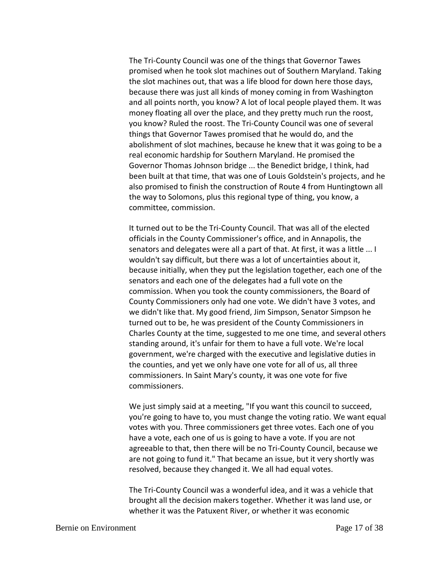The Tri-County Council was one of the things that Governor Tawes promised when he took slot machines out of Southern Maryland. Taking the slot machines out, that was a life blood for down here those days, because there was just all kinds of money coming in from Washington and all points north, you know? A lot of local people played them. It was money floating all over the place, and they pretty much run the roost, you know? Ruled the roost. The Tri-County Council was one of several things that Governor Tawes promised that he would do, and the abolishment of slot machines, because he knew that it was going to be a real economic hardship for Southern Maryland. He promised the Governor Thomas Johnson bridge ... the Benedict bridge, I think, had been built at that time, that was one of Louis Goldstein's projects, and he also promised to finish the construction of Route 4 from Huntingtown all the way to Solomons, plus this regional type of thing, you know, a committee, commission.

It turned out to be the Tri-County Council. That was all of the elected officials in the County Commissioner's office, and in Annapolis, the senators and delegates were all a part of that. At first, it was a little ... I wouldn't say difficult, but there was a lot of uncertainties about it, because initially, when they put the legislation together, each one of the senators and each one of the delegates had a full vote on the commission. When you took the county commissioners, the Board of County Commissioners only had one vote. We didn't have 3 votes, and we didn't like that. My good friend, Jim Simpson, Senator Simpson he turned out to be, he was president of the County Commissioners in Charles County at the time, suggested to me one time, and several others standing around, it's unfair for them to have a full vote. We're local government, we're charged with the executive and legislative duties in the counties, and yet we only have one vote for all of us, all three commissioners. In Saint Mary's county, it was one vote for five commissioners.

We just simply said at a meeting, "If you want this council to succeed, you're going to have to, you must change the voting ratio. We want equal votes with you. Three commissioners get three votes. Each one of you have a vote, each one of us is going to have a vote. If you are not agreeable to that, then there will be no Tri-County Council, because we are not going to fund it." That became an issue, but it very shortly was resolved, because they changed it. We all had equal votes.

The Tri-County Council was a wonderful idea, and it was a vehicle that brought all the decision makers together. Whether it was land use, or whether it was the Patuxent River, or whether it was economic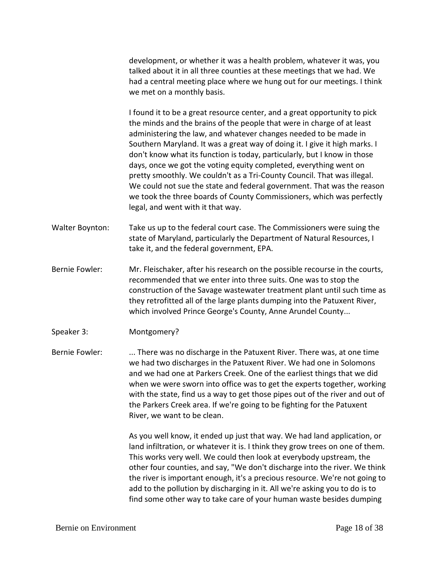development, or whether it was a health problem, whatever it was, you talked about it in all three counties at these meetings that we had. We had a central meeting place where we hung out for our meetings. I think we met on a monthly basis.

I found it to be a great resource center, and a great opportunity to pick the minds and the brains of the people that were in charge of at least administering the law, and whatever changes needed to be made in Southern Maryland. It was a great way of doing it. I give it high marks. I don't know what its function is today, particularly, but I know in those days, once we got the voting equity completed, everything went on pretty smoothly. We couldn't as a Tri-County Council. That was illegal. We could not sue the state and federal government. That was the reason we took the three boards of County Commissioners, which was perfectly legal, and went with it that way.

- Walter Boynton: Take us up to the federal court case. The Commissioners were suing the state of Maryland, particularly the Department of Natural Resources, I take it, and the federal government, EPA.
- Bernie Fowler: Mr. Fleischaker, after his research on the possible recourse in the courts, recommended that we enter into three suits. One was to stop the construction of the Savage wastewater treatment plant until such time as they retrofitted all of the large plants dumping into the Patuxent River, which involved Prince George's County, Anne Arundel County...
- Speaker 3: Montgomery?

Bernie Fowler: ... There was no discharge in the Patuxent River. There was, at one time we had two discharges in the Patuxent River. We had one in Solomons and we had one at Parkers Creek. One of the earliest things that we did when we were sworn into office was to get the experts together, working with the state, find us a way to get those pipes out of the river and out of the Parkers Creek area. If we're going to be fighting for the Patuxent River, we want to be clean.

> As you well know, it ended up just that way. We had land application, or land infiltration, or whatever it is. I think they grow trees on one of them. This works very well. We could then look at everybody upstream, the other four counties, and say, "We don't discharge into the river. We think the river is important enough, it's a precious resource. We're not going to add to the pollution by discharging in it. All we're asking you to do is to find some other way to take care of your human waste besides dumping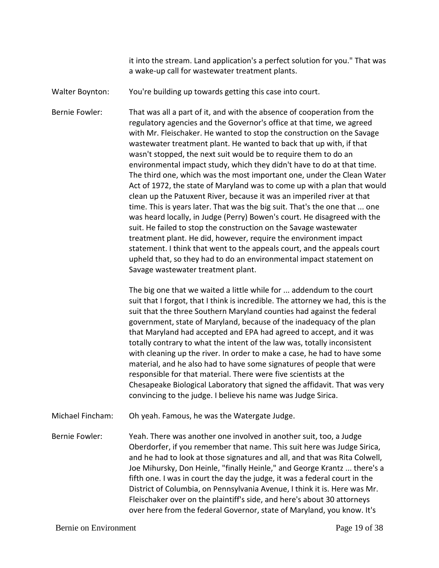it into the stream. Land application's a perfect solution for you." That was a wake-up call for wastewater treatment plants.

Walter Boynton: You're building up towards getting this case into court.

Bernie Fowler: That was all a part of it, and with the absence of cooperation from the regulatory agencies and the Governor's office at that time, we agreed with Mr. Fleischaker. He wanted to stop the construction on the Savage wastewater treatment plant. He wanted to back that up with, if that wasn't stopped, the next suit would be to require them to do an environmental impact study, which they didn't have to do at that time. The third one, which was the most important one, under the Clean Water Act of 1972, the state of Maryland was to come up with a plan that would clean up the Patuxent River, because it was an imperiled river at that time. This is years later. That was the big suit. That's the one that ... one was heard locally, in Judge (Perry) Bowen's court. He disagreed with the suit. He failed to stop the construction on the Savage wastewater treatment plant. He did, however, require the environment impact statement. I think that went to the appeals court, and the appeals court upheld that, so they had to do an environmental impact statement on Savage wastewater treatment plant.

> The big one that we waited a little while for ... addendum to the court suit that I forgot, that I think is incredible. The attorney we had, this is the suit that the three Southern Maryland counties had against the federal government, state of Maryland, because of the inadequacy of the plan that Maryland had accepted and EPA had agreed to accept, and it was totally contrary to what the intent of the law was, totally inconsistent with cleaning up the river. In order to make a case, he had to have some material, and he also had to have some signatures of people that were responsible for that material. There were five scientists at the Chesapeake Biological Laboratory that signed the affidavit. That was very convincing to the judge. I believe his name was Judge Sirica.

Michael Fincham: Oh yeah. Famous, he was the Watergate Judge.

Bernie Fowler: Yeah. There was another one involved in another suit, too, a Judge Oberdorfer, if you remember that name. This suit here was Judge Sirica, and he had to look at those signatures and all, and that was Rita Colwell, Joe Mihursky, Don Heinle, "finally Heinle," and George Krantz ... there's a fifth one. I was in court the day the judge, it was a federal court in the District of Columbia, on Pennsylvania Avenue, I think it is. Here was Mr. Fleischaker over on the plaintiff's side, and here's about 30 attorneys over here from the federal Governor, state of Maryland, you know. It's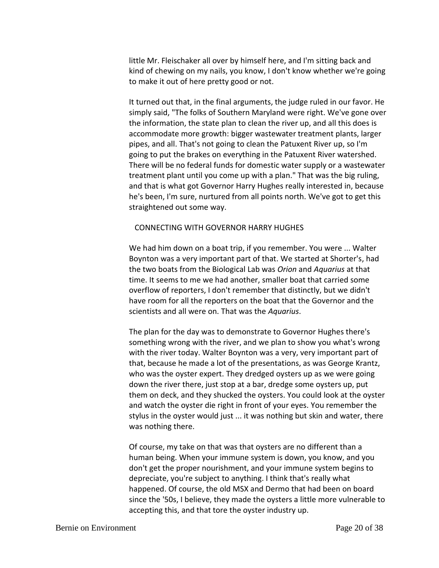little Mr. Fleischaker all over by himself here, and I'm sitting back and kind of chewing on my nails, you know, I don't know whether we're going to make it out of here pretty good or not.

It turned out that, in the final arguments, the judge ruled in our favor. He simply said, "The folks of Southern Maryland were right. We've gone over the information, the state plan to clean the river up, and all this does is accommodate more growth: bigger wastewater treatment plants, larger pipes, and all. That's not going to clean the Patuxent River up, so I'm going to put the brakes on everything in the Patuxent River watershed. There will be no federal funds for domestic water supply or a wastewater treatment plant until you come up with a plan." That was the big ruling, and that is what got Governor Harry Hughes really interested in, because he's been, I'm sure, nurtured from all points north. We've got to get this straightened out some way.

### CONNECTING WITH GOVERNOR HARRY HUGHES

We had him down on a boat trip, if you remember. You were ... Walter Boynton was a very important part of that. We started at Shorter's, had the two boats from the Biological Lab was *Orion* and *Aquarius* at that time. It seems to me we had another, smaller boat that carried some overflow of reporters, I don't remember that distinctly, but we didn't have room for all the reporters on the boat that the Governor and the scientists and all were on. That was the *Aquarius*.

The plan for the day was to demonstrate to Governor Hughes there's something wrong with the river, and we plan to show you what's wrong with the river today. Walter Boynton was a very, very important part of that, because he made a lot of the presentations, as was George Krantz, who was the oyster expert. They dredged oysters up as we were going down the river there, just stop at a bar, dredge some oysters up, put them on deck, and they shucked the oysters. You could look at the oyster and watch the oyster die right in front of your eyes. You remember the stylus in the oyster would just ... it was nothing but skin and water, there was nothing there.

Of course, my take on that was that oysters are no different than a human being. When your immune system is down, you know, and you don't get the proper nourishment, and your immune system begins to depreciate, you're subject to anything. I think that's really what happened. Of course, the old MSX and Dermo that had been on board since the '50s, I believe, they made the oysters a little more vulnerable to accepting this, and that tore the oyster industry up.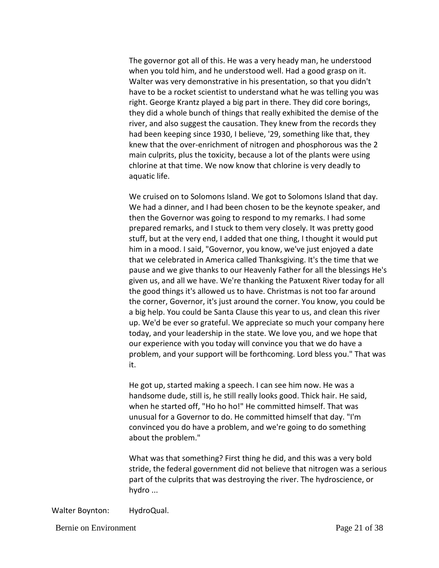The governor got all of this. He was a very heady man, he understood when you told him, and he understood well. Had a good grasp on it. Walter was very demonstrative in his presentation, so that you didn't have to be a rocket scientist to understand what he was telling you was right. George Krantz played a big part in there. They did core borings, they did a whole bunch of things that really exhibited the demise of the river, and also suggest the causation. They knew from the records they had been keeping since 1930, I believe, '29, something like that, they knew that the over-enrichment of nitrogen and phosphorous was the 2 main culprits, plus the toxicity, because a lot of the plants were using chlorine at that time. We now know that chlorine is very deadly to aquatic life.

We cruised on to Solomons Island. We got to Solomons Island that day. We had a dinner, and I had been chosen to be the keynote speaker, and then the Governor was going to respond to my remarks. I had some prepared remarks, and I stuck to them very closely. It was pretty good stuff, but at the very end, I added that one thing, I thought it would put him in a mood. I said, "Governor, you know, we've just enjoyed a date that we celebrated in America called Thanksgiving. It's the time that we pause and we give thanks to our Heavenly Father for all the blessings He's given us, and all we have. We're thanking the Patuxent River today for all the good things it's allowed us to have. Christmas is not too far around the corner, Governor, it's just around the corner. You know, you could be a big help. You could be Santa Clause this year to us, and clean this river up. We'd be ever so grateful. We appreciate so much your company here today, and your leadership in the state. We love you, and we hope that our experience with you today will convince you that we do have a problem, and your support will be forthcoming. Lord bless you." That was it.

He got up, started making a speech. I can see him now. He was a handsome dude, still is, he still really looks good. Thick hair. He said, when he started off, "Ho ho ho!" He committed himself. That was unusual for a Governor to do. He committed himself that day. "I'm convinced you do have a problem, and we're going to do something about the problem."

What was that something? First thing he did, and this was a very bold stride, the federal government did not believe that nitrogen was a serious part of the culprits that was destroying the river. The hydroscience, or hydro ...

Walter Boynton: HydroQual.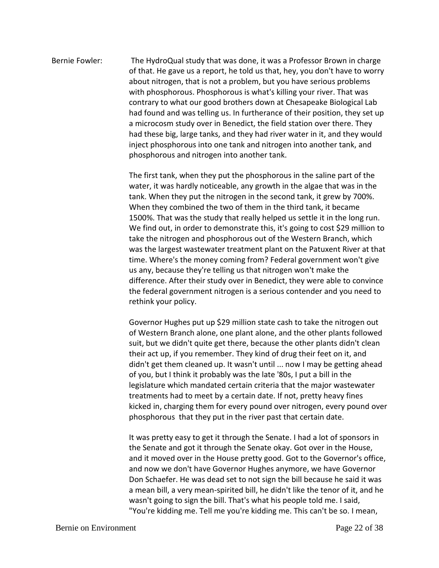# Bernie Fowler: The HydroQual study that was done, it was a Professor Brown in charge of that. He gave us a report, he told us that, hey, you don't have to worry about nitrogen, that is not a problem, but you have serious problems with phosphorous. Phosphorous is what's killing your river. That was contrary to what our good brothers down at Chesapeake Biological Lab had found and was telling us. In furtherance of their position, they set up a microcosm study over in Benedict, the field station over there. They had these big, large tanks, and they had river water in it, and they would inject phosphorous into one tank and nitrogen into another tank, and phosphorous and nitrogen into another tank.

The first tank, when they put the phosphorous in the saline part of the water, it was hardly noticeable, any growth in the algae that was in the tank. When they put the nitrogen in the second tank, it grew by 700%. When they combined the two of them in the third tank, it became 1500%. That was the study that really helped us settle it in the long run. We find out, in order to demonstrate this, it's going to cost \$29 million to take the nitrogen and phosphorous out of the Western Branch, which was the largest wastewater treatment plant on the Patuxent River at that time. Where's the money coming from? Federal government won't give us any, because they're telling us that nitrogen won't make the difference. After their study over in Benedict, they were able to convince the federal government nitrogen is a serious contender and you need to rethink your policy.

Governor Hughes put up \$29 million state cash to take the nitrogen out of Western Branch alone, one plant alone, and the other plants followed suit, but we didn't quite get there, because the other plants didn't clean their act up, if you remember. They kind of drug their feet on it, and didn't get them cleaned up. It wasn't until ... now I may be getting ahead of you, but I think it probably was the late '80s, I put a bill in the legislature which mandated certain criteria that the major wastewater treatments had to meet by a certain date. If not, pretty heavy fines kicked in, charging them for every pound over nitrogen, every pound over phosphorous that they put in the river past that certain date.

It was pretty easy to get it through the Senate. I had a lot of sponsors in the Senate and got it through the Senate okay. Got over in the House, and it moved over in the House pretty good. Got to the Governor's office, and now we don't have Governor Hughes anymore, we have Governor Don Schaefer. He was dead set to not sign the bill because he said it was a mean bill, a very mean-spirited bill, he didn't like the tenor of it, and he wasn't going to sign the bill. That's what his people told me. I said, "You're kidding me. Tell me you're kidding me. This can't be so. I mean,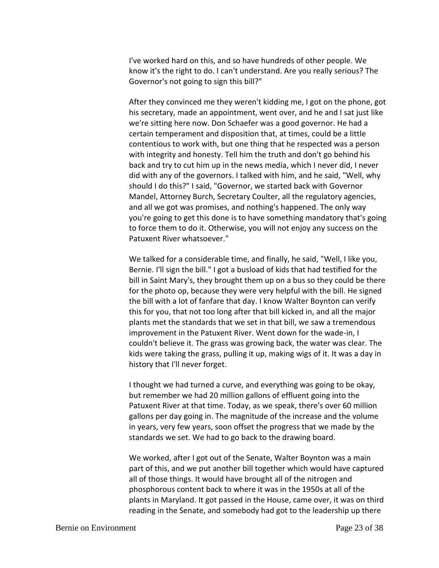I've worked hard on this, and so have hundreds of other people. We know it's the right to do. I can't understand. Are you really serious? The Governor's not going to sign this bill?"

After they convinced me they weren't kidding me, I got on the phone, got his secretary, made an appointment, went over, and he and I sat just like we're sitting here now. Don Schaefer was a good governor. He had a certain temperament and disposition that, at times, could be a little contentious to work with, but one thing that he respected was a person with integrity and honesty. Tell him the truth and don't go behind his back and try to cut him up in the news media, which I never did, I never did with any of the governors. I talked with him, and he said, "Well, why should I do this?" I said, "Governor, we started back with Governor Mandel, Attorney Burch, Secretary Coulter, all the regulatory agencies, and all we got was promises, and nothing's happened. The only way you're going to get this done is to have something mandatory that's going to force them to do it. Otherwise, you will not enjoy any success on the Patuxent River whatsoever."

We talked for a considerable time, and finally, he said, "Well, I like you, Bernie. I'll sign the bill." I got a busload of kids that had testified for the bill in Saint Mary's, they brought them up on a bus so they could be there for the photo op, because they were very helpful with the bill. He signed the bill with a lot of fanfare that day. I know Walter Boynton can verify this for you, that not too long after that bill kicked in, and all the major plants met the standards that we set in that bill, we saw a tremendous improvement in the Patuxent River. Went down for the wade-in, I couldn't believe it. The grass was growing back, the water was clear. The kids were taking the grass, pulling it up, making wigs of it. It was a day in history that I'll never forget.

I thought we had turned a curve, and everything was going to be okay, but remember we had 20 million gallons of effluent going into the Patuxent River at that time. Today, as we speak, there's over 60 million gallons per day going in. The magnitude of the increase and the volume in years, very few years, soon offset the progress that we made by the standards we set. We had to go back to the drawing board.

We worked, after I got out of the Senate, Walter Boynton was a main part of this, and we put another bill together which would have captured all of those things. It would have brought all of the nitrogen and phosphorous content back to where it was in the 1950s at all of the plants in Maryland. It got passed in the House, came over, it was on third reading in the Senate, and somebody had got to the leadership up there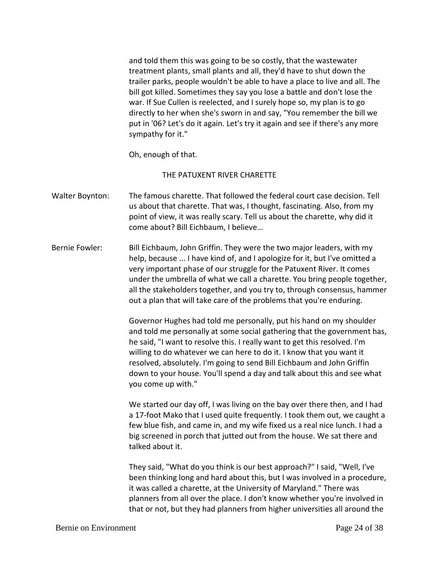and told them this was going to be so costly, that the wastewater treatment plants, small plants and all, they'd have to shut down the trailer parks, people wouldn't be able to have a place to live and all. The bill got killed. Sometimes they say you lose a battle and don't lose the war. If Sue Cullen is reelected, and I surely hope so, my plan is to go directly to her when she's sworn in and say, "You remember the bill we put in '06? Let's do it again. Let's try it again and see if there's any more sympathy for it."

Oh, enough of that.

### THE PATUXENT RIVER CHARETTE

- Walter Boynton: The famous charette. That followed the federal court case decision. Tell us about that charette. That was, I thought, fascinating. Also, from my point of view, it was really scary. Tell us about the charette, why did it come about? Bill Eichbaum, I believe…
- Bernie Fowler: Bill Eichbaum, John Griffin. They were the two major leaders, with my help, because ... I have kind of, and I apologize for it, but I've omitted a very important phase of our struggle for the Patuxent River. It comes under the umbrella of what we call a charette. You bring people together, all the stakeholders together, and you try to, through consensus, hammer out a plan that will take care of the problems that you're enduring.

Governor Hughes had told me personally, put his hand on my shoulder and told me personally at some social gathering that the government has, he said, "I want to resolve this. I really want to get this resolved. I'm willing to do whatever we can here to do it. I know that you want it resolved, absolutely. I'm going to send Bill Eichbaum and John Griffin down to your house. You'll spend a day and talk about this and see what you come up with."

We started our day off, I was living on the bay over there then, and I had a 17-foot Mako that I used quite frequently. I took them out, we caught a few blue fish, and came in, and my wife fixed us a real nice lunch. I had a big screened in porch that jutted out from the house. We sat there and talked about it.

They said, "What do you think is our best approach?" I said, "Well, I've been thinking long and hard about this, but I was involved in a procedure, it was called a charette, at the University of Maryland." There was planners from all over the place. I don't know whether you're involved in that or not, but they had planners from higher universities all around the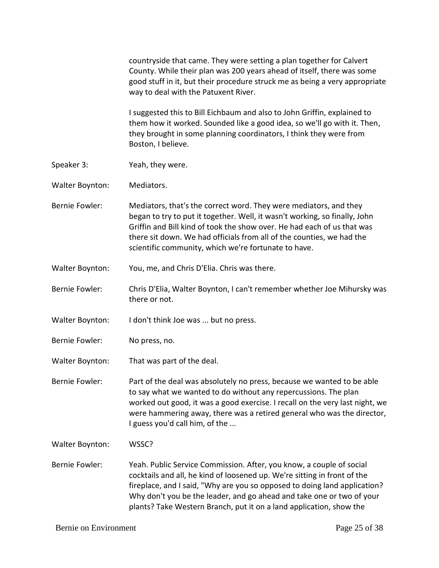|                       | countryside that came. They were setting a plan together for Calvert<br>County. While their plan was 200 years ahead of itself, there was some<br>good stuff in it, but their procedure struck me as being a very appropriate<br>way to deal with the Patuxent River.                                                                                                         |
|-----------------------|-------------------------------------------------------------------------------------------------------------------------------------------------------------------------------------------------------------------------------------------------------------------------------------------------------------------------------------------------------------------------------|
|                       | I suggested this to Bill Eichbaum and also to John Griffin, explained to<br>them how it worked. Sounded like a good idea, so we'll go with it. Then,<br>they brought in some planning coordinators, I think they were from<br>Boston, I believe.                                                                                                                              |
| Speaker 3:            | Yeah, they were.                                                                                                                                                                                                                                                                                                                                                              |
| Walter Boynton:       | Mediators.                                                                                                                                                                                                                                                                                                                                                                    |
| <b>Bernie Fowler:</b> | Mediators, that's the correct word. They were mediators, and they<br>began to try to put it together. Well, it wasn't working, so finally, John<br>Griffin and Bill kind of took the show over. He had each of us that was<br>there sit down. We had officials from all of the counties, we had the<br>scientific community, which we're fortunate to have.                   |
| Walter Boynton:       | You, me, and Chris D'Elia. Chris was there.                                                                                                                                                                                                                                                                                                                                   |
| <b>Bernie Fowler:</b> | Chris D'Elia, Walter Boynton, I can't remember whether Joe Mihursky was<br>there or not.                                                                                                                                                                                                                                                                                      |
| Walter Boynton:       | I don't think Joe was  but no press.                                                                                                                                                                                                                                                                                                                                          |
| <b>Bernie Fowler:</b> | No press, no.                                                                                                                                                                                                                                                                                                                                                                 |
| Walter Boynton:       | That was part of the deal.                                                                                                                                                                                                                                                                                                                                                    |
| <b>Bernie Fowler:</b> | Part of the deal was absolutely no press, because we wanted to be able<br>to say what we wanted to do without any repercussions. The plan<br>worked out good, it was a good exercise. I recall on the very last night, we<br>were hammering away, there was a retired general who was the director,<br>I guess you'd call him, of the                                         |
| Walter Boynton:       | WSSC?                                                                                                                                                                                                                                                                                                                                                                         |
| <b>Bernie Fowler:</b> | Yeah. Public Service Commission. After, you know, a couple of social<br>cocktails and all, he kind of loosened up. We're sitting in front of the<br>fireplace, and I said, "Why are you so opposed to doing land application?<br>Why don't you be the leader, and go ahead and take one or two of your<br>plants? Take Western Branch, put it on a land application, show the |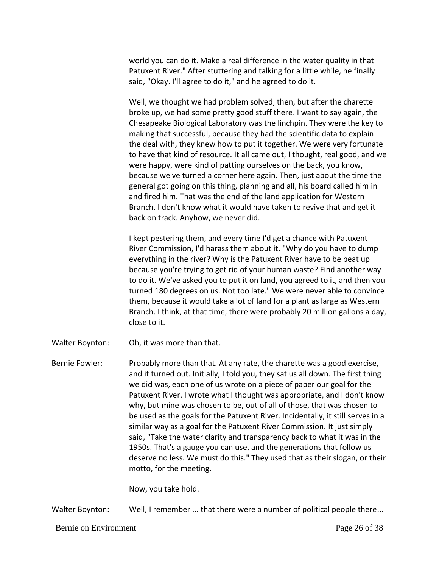world you can do it. Make a real difference in the water quality in that Patuxent River." After stuttering and talking for a little while, he finally said, "Okay. I'll agree to do it," and he agreed to do it.

Well, we thought we had problem solved, then, but after the charette broke up, we had some pretty good stuff there. I want to say again, the Chesapeake Biological Laboratory was the linchpin. They were the key to making that successful, because they had the scientific data to explain the deal with, they knew how to put it together. We were very fortunate to have that kind of resource. It all came out, I thought, real good, and we were happy, were kind of patting ourselves on the back, you know, because we've turned a corner here again. Then, just about the time the general got going on this thing, planning and all, his board called him in and fired him. That was the end of the land application for Western Branch. I don't know what it would have taken to revive that and get it back on track. Anyhow, we never did.

I kept pestering them, and every time I'd get a chance with Patuxent River Commission, I'd harass them about it. "Why do you have to dump everything in the river? Why is the Patuxent River have to be beat up because you're trying to get rid of your human waste? Find another way to do it. We've asked you to put it on land, you agreed to it, and then you turned 180 degrees on us. Not too late." We were never able to convince them, because it would take a lot of land for a plant as large as Western Branch. I think, at that time, there were probably 20 million gallons a day, close to it.

- Walter Boynton: Oh, it was more than that.
- Bernie Fowler: Probably more than that. At any rate, the charette was a good exercise, and it turned out. Initially, I told you, they sat us all down. The first thing we did was, each one of us wrote on a piece of paper our goal for the Patuxent River. I wrote what I thought was appropriate, and I don't know why, but mine was chosen to be, out of all of those, that was chosen to be used as the goals for the Patuxent River. Incidentally, it still serves in a similar way as a goal for the Patuxent River Commission. It just simply said, "Take the water clarity and transparency back to what it was in the 1950s. That's a gauge you can use, and the generations that follow us deserve no less. We must do this." They used that as their slogan, or their motto, for the meeting.

Now, you take hold.

Walter Boynton: Well, I remember ... that there were a number of political people there...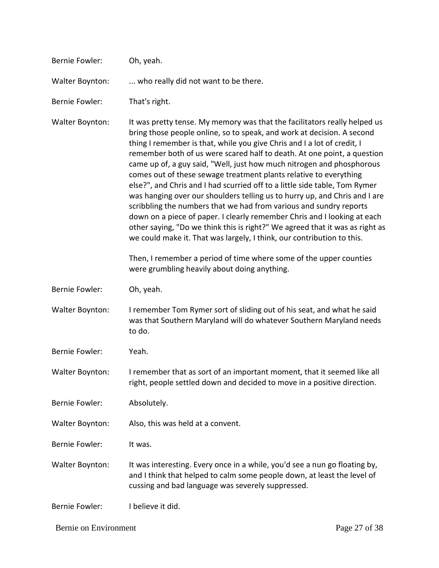| <b>Bernie Fowler:</b>  | Oh, yeah.                                                                                                                                                                                                                                                                                                                                                                                                                                                                                                                                                                                                                                                                                                                                                                                                                                                                                                                       |
|------------------------|---------------------------------------------------------------------------------------------------------------------------------------------------------------------------------------------------------------------------------------------------------------------------------------------------------------------------------------------------------------------------------------------------------------------------------------------------------------------------------------------------------------------------------------------------------------------------------------------------------------------------------------------------------------------------------------------------------------------------------------------------------------------------------------------------------------------------------------------------------------------------------------------------------------------------------|
| <b>Walter Boynton:</b> | who really did not want to be there.                                                                                                                                                                                                                                                                                                                                                                                                                                                                                                                                                                                                                                                                                                                                                                                                                                                                                            |
| <b>Bernie Fowler:</b>  | That's right.                                                                                                                                                                                                                                                                                                                                                                                                                                                                                                                                                                                                                                                                                                                                                                                                                                                                                                                   |
| <b>Walter Boynton:</b> | It was pretty tense. My memory was that the facilitators really helped us<br>bring those people online, so to speak, and work at decision. A second<br>thing I remember is that, while you give Chris and I a lot of credit, I<br>remember both of us were scared half to death. At one point, a question<br>came up of, a guy said, "Well, just how much nitrogen and phosphorous<br>comes out of these sewage treatment plants relative to everything<br>else?", and Chris and I had scurried off to a little side table, Tom Rymer<br>was hanging over our shoulders telling us to hurry up, and Chris and I are<br>scribbling the numbers that we had from various and sundry reports<br>down on a piece of paper. I clearly remember Chris and I looking at each<br>other saying, "Do we think this is right?" We agreed that it was as right as<br>we could make it. That was largely, I think, our contribution to this. |
|                        | Then, I remember a period of time where some of the upper counties<br>were grumbling heavily about doing anything.                                                                                                                                                                                                                                                                                                                                                                                                                                                                                                                                                                                                                                                                                                                                                                                                              |
| <b>Bernie Fowler:</b>  | Oh, yeah.                                                                                                                                                                                                                                                                                                                                                                                                                                                                                                                                                                                                                                                                                                                                                                                                                                                                                                                       |
| Walter Boynton:        | I remember Tom Rymer sort of sliding out of his seat, and what he said<br>was that Southern Maryland will do whatever Southern Maryland needs<br>to do.                                                                                                                                                                                                                                                                                                                                                                                                                                                                                                                                                                                                                                                                                                                                                                         |
| <b>Bernie Fowler:</b>  | Yeah.                                                                                                                                                                                                                                                                                                                                                                                                                                                                                                                                                                                                                                                                                                                                                                                                                                                                                                                           |
| Walter Boynton:        | I remember that as sort of an important moment, that it seemed like all<br>right, people settled down and decided to move in a positive direction.                                                                                                                                                                                                                                                                                                                                                                                                                                                                                                                                                                                                                                                                                                                                                                              |
| <b>Bernie Fowler:</b>  | Absolutely.                                                                                                                                                                                                                                                                                                                                                                                                                                                                                                                                                                                                                                                                                                                                                                                                                                                                                                                     |
| <b>Walter Boynton:</b> | Also, this was held at a convent.                                                                                                                                                                                                                                                                                                                                                                                                                                                                                                                                                                                                                                                                                                                                                                                                                                                                                               |
| <b>Bernie Fowler:</b>  | It was.                                                                                                                                                                                                                                                                                                                                                                                                                                                                                                                                                                                                                                                                                                                                                                                                                                                                                                                         |
| Walter Boynton:        | It was interesting. Every once in a while, you'd see a nun go floating by,<br>and I think that helped to calm some people down, at least the level of<br>cussing and bad language was severely suppressed.                                                                                                                                                                                                                                                                                                                                                                                                                                                                                                                                                                                                                                                                                                                      |
| <b>Bernie Fowler:</b>  | I believe it did.                                                                                                                                                                                                                                                                                                                                                                                                                                                                                                                                                                                                                                                                                                                                                                                                                                                                                                               |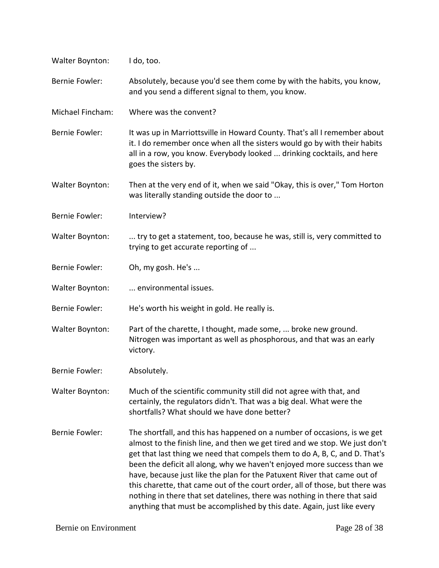| Walter Boynton:        | I do, too.                                                                                                                                                                                                                                                                                                                                                                                                                                                                                                                                                                                                                           |
|------------------------|--------------------------------------------------------------------------------------------------------------------------------------------------------------------------------------------------------------------------------------------------------------------------------------------------------------------------------------------------------------------------------------------------------------------------------------------------------------------------------------------------------------------------------------------------------------------------------------------------------------------------------------|
| <b>Bernie Fowler:</b>  | Absolutely, because you'd see them come by with the habits, you know,<br>and you send a different signal to them, you know.                                                                                                                                                                                                                                                                                                                                                                                                                                                                                                          |
| Michael Fincham:       | Where was the convent?                                                                                                                                                                                                                                                                                                                                                                                                                                                                                                                                                                                                               |
| Bernie Fowler:         | It was up in Marriottsville in Howard County. That's all I remember about<br>it. I do remember once when all the sisters would go by with their habits<br>all in a row, you know. Everybody looked  drinking cocktails, and here<br>goes the sisters by.                                                                                                                                                                                                                                                                                                                                                                             |
| Walter Boynton:        | Then at the very end of it, when we said "Okay, this is over," Tom Horton<br>was literally standing outside the door to                                                                                                                                                                                                                                                                                                                                                                                                                                                                                                              |
| <b>Bernie Fowler:</b>  | Interview?                                                                                                                                                                                                                                                                                                                                                                                                                                                                                                                                                                                                                           |
| Walter Boynton:        | try to get a statement, too, because he was, still is, very committed to<br>trying to get accurate reporting of                                                                                                                                                                                                                                                                                                                                                                                                                                                                                                                      |
| <b>Bernie Fowler:</b>  | Oh, my gosh. He's                                                                                                                                                                                                                                                                                                                                                                                                                                                                                                                                                                                                                    |
| <b>Walter Boynton:</b> | environmental issues.                                                                                                                                                                                                                                                                                                                                                                                                                                                                                                                                                                                                                |
| <b>Bernie Fowler:</b>  | He's worth his weight in gold. He really is.                                                                                                                                                                                                                                                                                                                                                                                                                                                                                                                                                                                         |
| Walter Boynton:        | Part of the charette, I thought, made some,  broke new ground.<br>Nitrogen was important as well as phosphorous, and that was an early<br>victory.                                                                                                                                                                                                                                                                                                                                                                                                                                                                                   |
| Bernie Fowler:         | Absolutely.                                                                                                                                                                                                                                                                                                                                                                                                                                                                                                                                                                                                                          |
| Walter Boynton:        | Much of the scientific community still did not agree with that, and<br>certainly, the regulators didn't. That was a big deal. What were the<br>shortfalls? What should we have done better?                                                                                                                                                                                                                                                                                                                                                                                                                                          |
| <b>Bernie Fowler:</b>  | The shortfall, and this has happened on a number of occasions, is we get<br>almost to the finish line, and then we get tired and we stop. We just don't<br>get that last thing we need that compels them to do A, B, C, and D. That's<br>been the deficit all along, why we haven't enjoyed more success than we<br>have, because just like the plan for the Patuxent River that came out of<br>this charette, that came out of the court order, all of those, but there was<br>nothing in there that set datelines, there was nothing in there that said<br>anything that must be accomplished by this date. Again, just like every |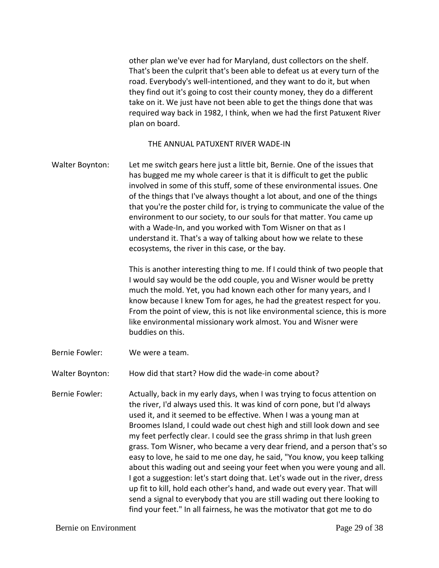other plan we've ever had for Maryland, dust collectors on the shelf. That's been the culprit that's been able to defeat us at every turn of the road. Everybody's well-intentioned, and they want to do it, but when they find out it's going to cost their county money, they do a different take on it. We just have not been able to get the things done that was required way back in 1982, I think, when we had the first Patuxent River plan on board.

### THE ANNUAL PATUXENT RIVER WADE-IN

Walter Boynton: Let me switch gears here just a little bit, Bernie. One of the issues that has bugged me my whole career is that it is difficult to get the public involved in some of this stuff, some of these environmental issues. One of the things that I've always thought a lot about, and one of the things that you're the poster child for, is trying to communicate the value of the environment to our society, to our souls for that matter. You came up with a Wade-In, and you worked with Tom Wisner on that as I understand it. That's a way of talking about how we relate to these ecosystems, the river in this case, or the bay.

> This is another interesting thing to me. If I could think of two people that I would say would be the odd couple, you and Wisner would be pretty much the mold. Yet, you had known each other for many years, and I know because I knew Tom for ages, he had the greatest respect for you. From the point of view, this is not like environmental science, this is more like environmental missionary work almost. You and Wisner were buddies on this.

Bernie Fowler: We were a team.

Walter Boynton: How did that start? How did the wade-in come about?

Bernie Fowler: Actually, back in my early days, when I was trying to focus attention on the river, I'd always used this. It was kind of corn pone, but I'd always used it, and it seemed to be effective. When I was a young man at Broomes Island, I could wade out chest high and still look down and see my feet perfectly clear. I could see the grass shrimp in that lush green grass. Tom Wisner, who became a very dear friend, and a person that's so easy to love, he said to me one day, he said, "You know, you keep talking about this wading out and seeing your feet when you were young and all. I got a suggestion: let's start doing that. Let's wade out in the river, dress up fit to kill, hold each other's hand, and wade out every year. That will send a signal to everybody that you are still wading out there looking to find your feet." In all fairness, he was the motivator that got me to do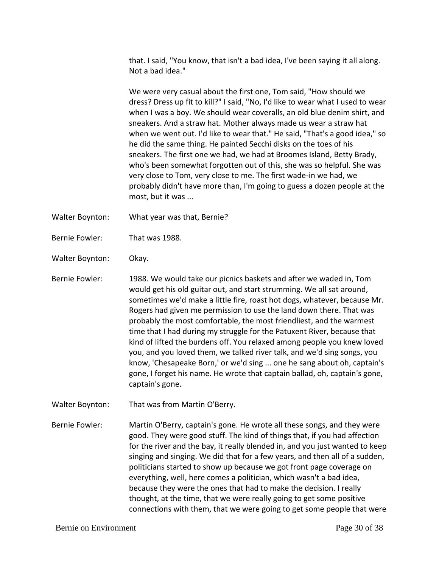that. I said, "You know, that isn't a bad idea, I've been saying it all along. Not a bad idea."

We were very casual about the first one, Tom said, "How should we dress? Dress up fit to kill?" I said, "No, I'd like to wear what I used to wear when I was a boy. We should wear coveralls, an old blue denim shirt, and sneakers. And a straw hat. Mother always made us wear a straw hat when we went out. I'd like to wear that." He said, "That's a good idea," so he did the same thing. He painted Secchi disks on the toes of his sneakers. The first one we had, we had at Broomes Island, Betty Brady, who's been somewhat forgotten out of this, she was so helpful. She was very close to Tom, very close to me. The first wade-in we had, we probably didn't have more than, I'm going to guess a dozen people at the most, but it was ...

- Walter Boynton: What year was that, Bernie?
- Bernie Fowler: That was 1988.
- Walter Boynton: Okay.
- Bernie Fowler: 1988. We would take our picnics baskets and after we waded in, Tom would get his old guitar out, and start strumming. We all sat around, sometimes we'd make a little fire, roast hot dogs, whatever, because Mr. Rogers had given me permission to use the land down there. That was probably the most comfortable, the most friendliest, and the warmest time that I had during my struggle for the Patuxent River, because that kind of lifted the burdens off. You relaxed among people you knew loved you, and you loved them, we talked river talk, and we'd sing songs, you know, 'Chesapeake Born,' or we'd sing ... one he sang about oh, captain's gone, I forget his name. He wrote that captain ballad, oh, captain's gone, captain's gone.
- Walter Boynton: That was from Martin O'Berry.

Bernie Fowler: Martin O'Berry, captain's gone. He wrote all these songs, and they were good. They were good stuff. The kind of things that, if you had affection for the river and the bay, it really blended in, and you just wanted to keep singing and singing. We did that for a few years, and then all of a sudden, politicians started to show up because we got front page coverage on everything, well, here comes a politician, which wasn't a bad idea, because they were the ones that had to make the decision. I really thought, at the time, that we were really going to get some positive connections with them, that we were going to get some people that were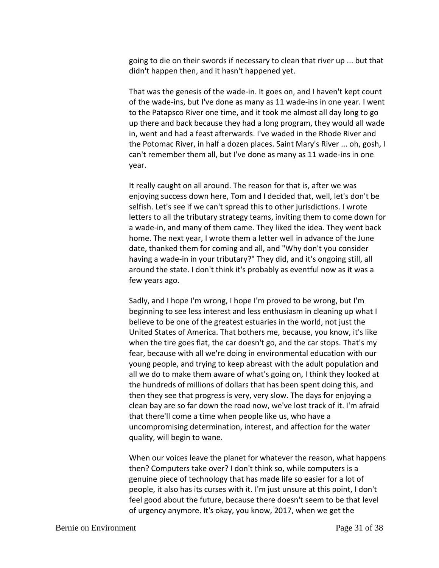going to die on their swords if necessary to clean that river up ... but that didn't happen then, and it hasn't happened yet.

That was the genesis of the wade-in. It goes on, and I haven't kept count of the wade-ins, but I've done as many as 11 wade-ins in one year. I went to the Patapsco River one time, and it took me almost all day long to go up there and back because they had a long program, they would all wade in, went and had a feast afterwards. I've waded in the Rhode River and the Potomac River, in half a dozen places. Saint Mary's River ... oh, gosh, I can't remember them all, but I've done as many as 11 wade-ins in one year.

It really caught on all around. The reason for that is, after we was enjoying success down here, Tom and I decided that, well, let's don't be selfish. Let's see if we can't spread this to other jurisdictions. I wrote letters to all the tributary strategy teams, inviting them to come down for a wade-in, and many of them came. They liked the idea. They went back home. The next year, I wrote them a letter well in advance of the June date, thanked them for coming and all, and "Why don't you consider having a wade-in in your tributary?" They did, and it's ongoing still, all around the state. I don't think it's probably as eventful now as it was a few years ago.

Sadly, and I hope I'm wrong, I hope I'm proved to be wrong, but I'm beginning to see less interest and less enthusiasm in cleaning up what I believe to be one of the greatest estuaries in the world, not just the United States of America. That bothers me, because, you know, it's like when the tire goes flat, the car doesn't go, and the car stops. That's my fear, because with all we're doing in environmental education with our young people, and trying to keep abreast with the adult population and all we do to make them aware of what's going on, I think they looked at the hundreds of millions of dollars that has been spent doing this, and then they see that progress is very, very slow. The days for enjoying a clean bay are so far down the road now, we've lost track of it. I'm afraid that there'll come a time when people like us, who have a uncompromising determination, interest, and affection for the water quality, will begin to wane.

When our voices leave the planet for whatever the reason, what happens then? Computers take over? I don't think so, while computers is a genuine piece of technology that has made life so easier for a lot of people, it also has its curses with it. I'm just unsure at this point, I don't feel good about the future, because there doesn't seem to be that level of urgency anymore. It's okay, you know, 2017, when we get the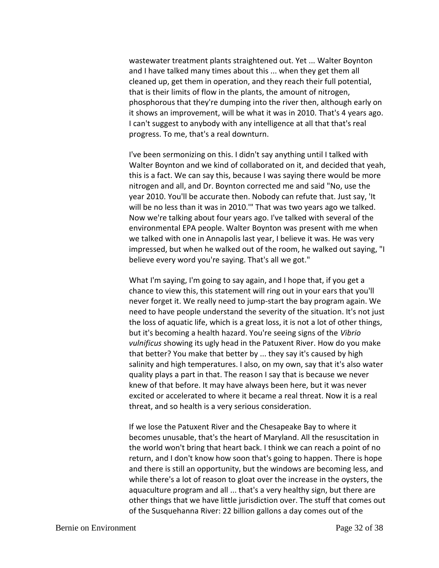wastewater treatment plants straightened out. Yet ... Walter Boynton and I have talked many times about this ... when they get them all cleaned up, get them in operation, and they reach their full potential, that is their limits of flow in the plants, the amount of nitrogen, phosphorous that they're dumping into the river then, although early on it shows an improvement, will be what it was in 2010. That's 4 years ago. I can't suggest to anybody with any intelligence at all that that's real progress. To me, that's a real downturn.

I've been sermonizing on this. I didn't say anything until I talked with Walter Boynton and we kind of collaborated on it, and decided that yeah, this is a fact. We can say this, because I was saying there would be more nitrogen and all, and Dr. Boynton corrected me and said "No, use the year 2010. You'll be accurate then. Nobody can refute that. Just say, 'It will be no less than it was in 2010.'" That was two years ago we talked. Now we're talking about four years ago. I've talked with several of the environmental EPA people. Walter Boynton was present with me when we talked with one in Annapolis last year, I believe it was. He was very impressed, but when he walked out of the room, he walked out saying, "I believe every word you're saying. That's all we got."

What I'm saying, I'm going to say again, and I hope that, if you get a chance to view this, this statement will ring out in your ears that you'll never forget it. We really need to jump-start the bay program again. We need to have people understand the severity of the situation. It's not just the loss of aquatic life, which is a great loss, it is not a lot of other things, but it's becoming a health hazard. You're seeing signs of the *Vibrio vulnificus* showing its ugly head in the Patuxent River. How do you make that better? You make that better by ... they say it's caused by high salinity and high temperatures. I also, on my own, say that it's also water quality plays a part in that. The reason I say that is because we never knew of that before. It may have always been here, but it was never excited or accelerated to where it became a real threat. Now it is a real threat, and so health is a very serious consideration.

If we lose the Patuxent River and the Chesapeake Bay to where it becomes unusable, that's the heart of Maryland. All the resuscitation in the world won't bring that heart back. I think we can reach a point of no return, and I don't know how soon that's going to happen. There is hope and there is still an opportunity, but the windows are becoming less, and while there's a lot of reason to gloat over the increase in the oysters, the aquaculture program and all ... that's a very healthy sign, but there are other things that we have little jurisdiction over. The stuff that comes out of the Susquehanna River: 22 billion gallons a day comes out of the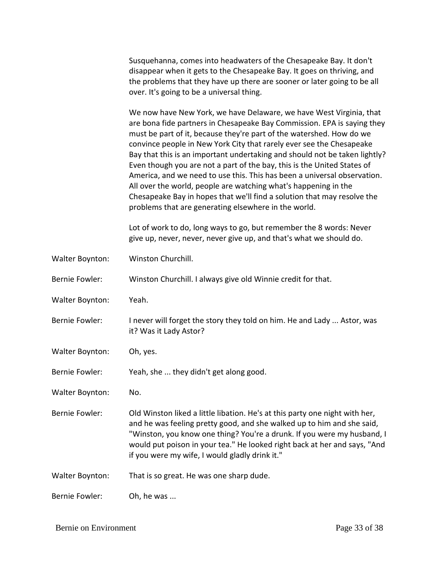Susquehanna, comes into headwaters of the Chesapeake Bay. It don't disappear when it gets to the Chesapeake Bay. It goes on thriving, and the problems that they have up there are sooner or later going to be all over. It's going to be a universal thing.

We now have New York, we have Delaware, we have West Virginia, that are bona fide partners in Chesapeake Bay Commission. EPA is saying they must be part of it, because they're part of the watershed. How do we convince people in New York City that rarely ever see the Chesapeake Bay that this is an important undertaking and should not be taken lightly? Even though you are not a part of the bay, this is the United States of America, and we need to use this. This has been a universal observation. All over the world, people are watching what's happening in the Chesapeake Bay in hopes that we'll find a solution that may resolve the problems that are generating elsewhere in the world.

Lot of work to do, long ways to go, but remember the 8 words: Never give up, never, never, never give up, and that's what we should do.

Walter Boynton: Winston Churchill.

Bernie Fowler: Winston Churchill. I always give old Winnie credit for that.

- Walter Boynton: Yeah.
- Bernie Fowler: I never will forget the story they told on him. He and Lady ... Astor, was it? Was it Lady Astor?
- Walter Boynton: Oh, yes.
- Bernie Fowler: Yeah, she ... they didn't get along good.
- Walter Boynton: No.

Bernie Fowler: Old Winston liked a little libation. He's at this party one night with her, and he was feeling pretty good, and she walked up to him and she said, "Winston, you know one thing? You're a drunk. If you were my husband, I would put poison in your tea." He looked right back at her and says, "And if you were my wife, I would gladly drink it."

Walter Boynton: That is so great. He was one sharp dude.

Bernie Fowler: Oh, he was ...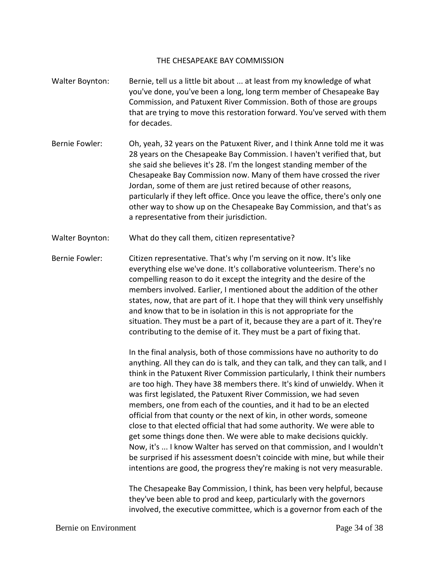### THE CHESAPEAKE BAY COMMISSION

- Walter Boynton: Bernie, tell us a little bit about ... at least from my knowledge of what you've done, you've been a long, long term member of Chesapeake Bay Commission, and Patuxent River Commission. Both of those are groups that are trying to move this restoration forward. You've served with them for decades.
- Bernie Fowler: Oh, yeah, 32 years on the Patuxent River, and I think Anne told me it was 28 years on the Chesapeake Bay Commission. I haven't verified that, but she said she believes it's 28. I'm the longest standing member of the Chesapeake Bay Commission now. Many of them have crossed the river Jordan, some of them are just retired because of other reasons, particularly if they left office. Once you leave the office, there's only one other way to show up on the Chesapeake Bay Commission, and that's as a representative from their jurisdiction.
- Walter Boynton: What do they call them, citizen representative?

Bernie Fowler: Citizen representative. That's why I'm serving on it now. It's like everything else we've done. It's collaborative volunteerism. There's no compelling reason to do it except the integrity and the desire of the members involved. Earlier, I mentioned about the addition of the other states, now, that are part of it. I hope that they will think very unselfishly and know that to be in isolation in this is not appropriate for the situation. They must be a part of it, because they are a part of it. They're contributing to the demise of it. They must be a part of fixing that.

> In the final analysis, both of those commissions have no authority to do anything. All they can do is talk, and they can talk, and they can talk, and I think in the Patuxent River Commission particularly, I think their numbers are too high. They have 38 members there. It's kind of unwieldy. When it was first legislated, the Patuxent River Commission, we had seven members, one from each of the counties, and it had to be an elected official from that county or the next of kin, in other words, someone close to that elected official that had some authority. We were able to get some things done then. We were able to make decisions quickly. Now, it's ... I know Walter has served on that commission, and I wouldn't be surprised if his assessment doesn't coincide with mine, but while their intentions are good, the progress they're making is not very measurable.

The Chesapeake Bay Commission, I think, has been very helpful, because they've been able to prod and keep, particularly with the governors involved, the executive committee, which is a governor from each of the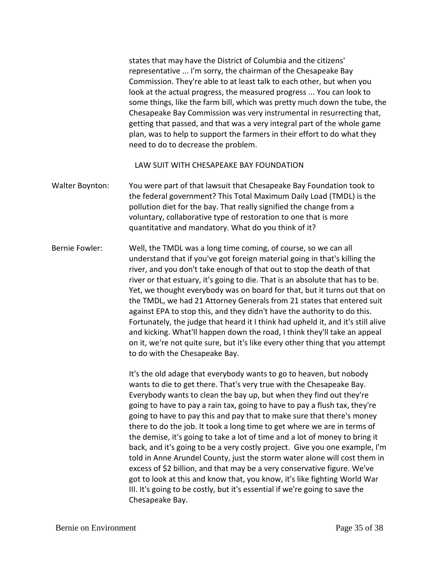states that may have the District of Columbia and the citizens' representative ... I'm sorry, the chairman of the Chesapeake Bay Commission. They're able to at least talk to each other, but when you look at the actual progress, the measured progress ... You can look to some things, like the farm bill, which was pretty much down the tube, the Chesapeake Bay Commission was very instrumental in resurrecting that, getting that passed, and that was a very integral part of the whole game plan, was to help to support the farmers in their effort to do what they need to do to decrease the problem.

LAW SUIT WITH CHESAPEAKE BAY FOUNDATION

Walter Boynton: You were part of that lawsuit that Chesapeake Bay Foundation took to the federal government? This Total Maximum Daily Load (TMDL) is the pollution diet for the bay. That really signified the change from a voluntary, collaborative type of restoration to one that is more quantitative and mandatory. What do you think of it?

Bernie Fowler: Well, the TMDL was a long time coming, of course, so we can all understand that if you've got foreign material going in that's killing the river, and you don't take enough of that out to stop the death of that river or that estuary, it's going to die. That is an absolute that has to be. Yet, we thought everybody was on board for that, but it turns out that on the TMDL, we had 21 Attorney Generals from 21 states that entered suit against EPA to stop this, and they didn't have the authority to do this. Fortunately, the judge that heard it I think had upheld it, and it's still alive and kicking. What'll happen down the road, I think they'll take an appeal on it, we're not quite sure, but it's like every other thing that you attempt to do with the Chesapeake Bay.

> It's the old adage that everybody wants to go to heaven, but nobody wants to die to get there. That's very true with the Chesapeake Bay. Everybody wants to clean the bay up, but when they find out they're going to have to pay a rain tax, going to have to pay a flush tax, they're going to have to pay this and pay that to make sure that there's money there to do the job. It took a long time to get where we are in terms of the demise, it's going to take a lot of time and a lot of money to bring it back, and it's going to be a very costly project. Give you one example, I'm told in Anne Arundel County, just the storm water alone will cost them in excess of \$2 billion, and that may be a very conservative figure. We've got to look at this and know that, you know, it's like fighting World War III. It's going to be costly, but it's essential if we're going to save the Chesapeake Bay.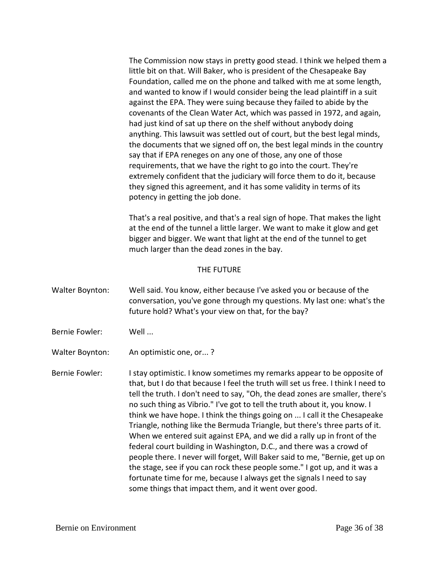The Commission now stays in pretty good stead. I think we helped them a little bit on that. Will Baker, who is president of the Chesapeake Bay Foundation, called me on the phone and talked with me at some length, and wanted to know if I would consider being the lead plaintiff in a suit against the EPA. They were suing because they failed to abide by the covenants of the Clean Water Act, which was passed in 1972, and again, had just kind of sat up there on the shelf without anybody doing anything. This lawsuit was settled out of court, but the best legal minds, the documents that we signed off on, the best legal minds in the country say that if EPA reneges on any one of those, any one of those requirements, that we have the right to go into the court. They're extremely confident that the judiciary will force them to do it, because they signed this agreement, and it has some validity in terms of its potency in getting the job done.

That's a real positive, and that's a real sign of hope. That makes the light at the end of the tunnel a little larger. We want to make it glow and get bigger and bigger. We want that light at the end of the tunnel to get much larger than the dead zones in the bay.

### THE FUTURE

- Walter Boynton: Well said. You know, either because I've asked you or because of the conversation, you've gone through my questions. My last one: what's the future hold? What's your view on that, for the bay?
- Bernie Fowler: Well ...
- Walter Boynton: An optimistic one, or...?

Bernie Fowler: I stay optimistic. I know sometimes my remarks appear to be opposite of that, but I do that because I feel the truth will set us free. I think I need to tell the truth. I don't need to say, "Oh, the dead zones are smaller, there's no such thing as Vibrio." I've got to tell the truth about it, you know. I think we have hope. I think the things going on ... I call it the Chesapeake Triangle, nothing like the Bermuda Triangle, but there's three parts of it. When we entered suit against EPA, and we did a rally up in front of the federal court building in Washington, D.C., and there was a crowd of people there. I never will forget, Will Baker said to me, "Bernie, get up on the stage, see if you can rock these people some." I got up, and it was a fortunate time for me, because I always get the signals I need to say some things that impact them, and it went over good.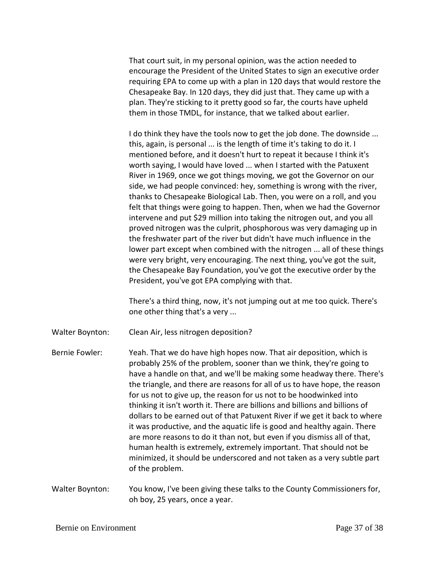That court suit, in my personal opinion, was the action needed to encourage the President of the United States to sign an executive order requiring EPA to come up with a plan in 120 days that would restore the Chesapeake Bay. In 120 days, they did just that. They came up with a plan. They're sticking to it pretty good so far, the courts have upheld them in those TMDL, for instance, that we talked about earlier.

I do think they have the tools now to get the job done. The downside ... this, again, is personal ... is the length of time it's taking to do it. I mentioned before, and it doesn't hurt to repeat it because I think it's worth saying, I would have loved ... when I started with the Patuxent River in 1969, once we got things moving, we got the Governor on our side, we had people convinced: hey, something is wrong with the river, thanks to Chesapeake Biological Lab. Then, you were on a roll, and you felt that things were going to happen. Then, when we had the Governor intervene and put \$29 million into taking the nitrogen out, and you all proved nitrogen was the culprit, phosphorous was very damaging up in the freshwater part of the river but didn't have much influence in the lower part except when combined with the nitrogen ... all of these things were very bright, very encouraging. The next thing, you've got the suit, the Chesapeake Bay Foundation, you've got the executive order by the President, you've got EPA complying with that.

There's a third thing, now, it's not jumping out at me too quick. There's one other thing that's a very ...

Walter Boynton: Clean Air, less nitrogen deposition?

Bernie Fowler: Yeah. That we do have high hopes now. That air deposition, which is probably 25% of the problem, sooner than we think, they're going to have a handle on that, and we'll be making some headway there. There's the triangle, and there are reasons for all of us to have hope, the reason for us not to give up, the reason for us not to be hoodwinked into thinking it isn't worth it. There are billions and billions and billions of dollars to be earned out of that Patuxent River if we get it back to where it was productive, and the aquatic life is good and healthy again. There are more reasons to do it than not, but even if you dismiss all of that, human health is extremely, extremely important. That should not be minimized, it should be underscored and not taken as a very subtle part of the problem.

Walter Boynton: You know, I've been giving these talks to the County Commissioners for, oh boy, 25 years, once a year.